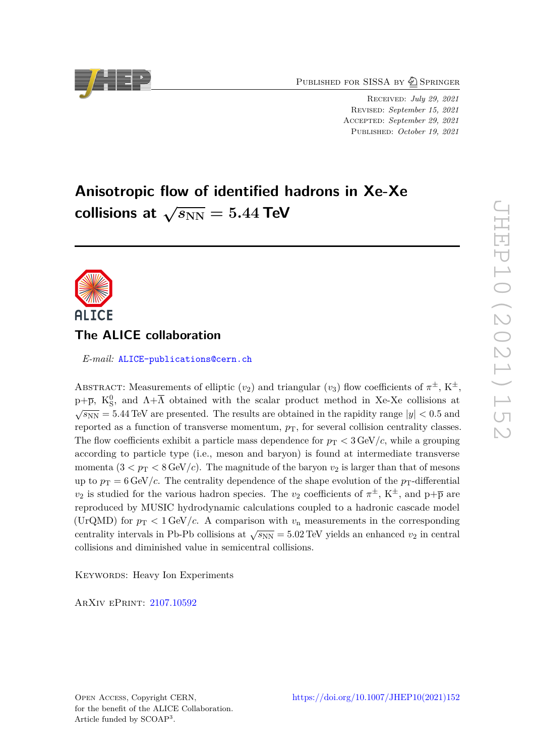PUBLISHED FOR SISSA BY 2 SPRINGER

Received: *July 29, 2021* Revised: *September 15, 2021* ACCEPTED: *September 29, 2021* Published: *October 19, 2021*

# **Anisotropic flow of identified hadrons in Xe-Xe collisions at**  $\sqrt{s_{NN}} = 5.44$  **TeV**



*E-mail:* [ALICE-publications@cern.ch](mailto:ALICE-publications@cern.ch)

ABSTRACT: Measurements of elliptic  $(v_2)$  and triangular  $(v_3)$  flow coefficients of  $\pi^{\pm}$ ,  $K^{\pm}$ ,  $p+\overline{p}$ ,  $K_S^0$ , and  $\Lambda+\overline{\Lambda}$  obtained with the scalar product method in Xe-Xe collisions at  $\sqrt{s_{NN}} = 5.44$  TeV are presented. The results are obtained in the rapidity range  $|y| < 0.5$  and reported as a function of transverse momentum,  $p<sub>T</sub>$ , for several collision centrality classes. The flow coefficients exhibit a particle mass dependence for  $p_T < 3 \text{ GeV}/c$ , while a grouping according to particle type (i.e., meson and baryon) is found at intermediate transverse momenta  $(3 < p_T < 8 \text{ GeV}/c)$ . The magnitude of the baryon  $v_2$  is larger than that of mesons up to  $p_T = 6 \text{ GeV}/c$ . The centrality dependence of the shape evolution of the  $p_T$ -differential  $v_2$  is studied for the various hadron species. The  $v_2$  coefficients of  $\pi^{\pm}$ , K<sup> $\pm$ </sup>, and p+ $\bar{p}$  are reproduced by MUSIC hydrodynamic calculations coupled to a hadronic cascade model (UrQMD) for  $p_T < 1 \text{ GeV}/c$ . A comparison with  $v_n$  measurements in the corresponding centrality intervals in Pb-Pb collisions at  $\sqrt{s_{NN}} = 5.02$  TeV yields an enhanced  $v_2$  in central collisions and diminished value in semicentral collisions.

KEYWORDS: Heavy Ion Experiments

ArXiv ePrint: [2107.10592](https://arxiv.org/abs/2107.10592)

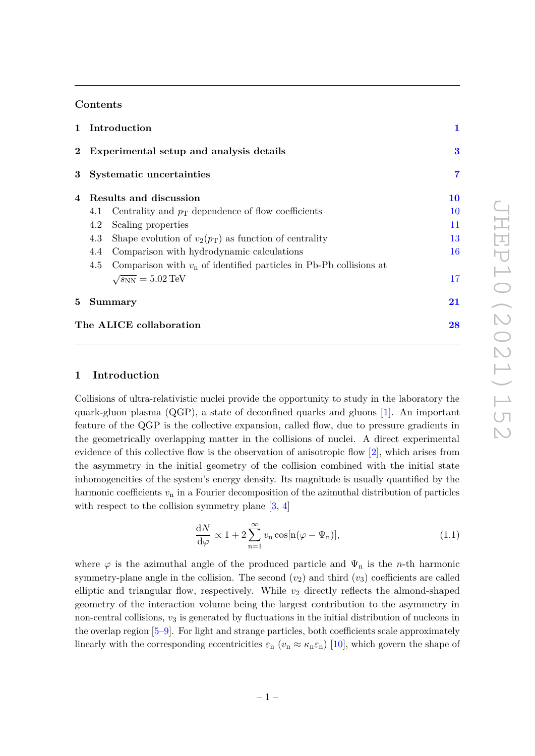# **Contents**

|                         |                                         | 1 Introduction                                                       | 1              |  |  |  |
|-------------------------|-----------------------------------------|----------------------------------------------------------------------|----------------|--|--|--|
| $2^{-}$                 | Experimental setup and analysis details |                                                                      |                |  |  |  |
| $3^-$                   |                                         | Systematic uncertainties                                             | $\overline{7}$ |  |  |  |
| 4                       |                                         | Results and discussion                                               | <b>10</b>      |  |  |  |
|                         | 4.1                                     | Centrality and $p_T$ dependence of flow coefficients                 | 10             |  |  |  |
|                         | 4.2                                     | Scaling properties                                                   | 11             |  |  |  |
|                         | 4.3                                     | Shape evolution of $v_2(p_T)$ as function of centrality              | 13             |  |  |  |
|                         | 4.4                                     | Comparison with hydrodynamic calculations                            | 16             |  |  |  |
|                         | 4.5                                     | Comparison with $v_n$ of identified particles in Pb-Pb collisions at |                |  |  |  |
|                         |                                         | $\sqrt{s_{NN}} = 5.02 \text{ TeV}$                                   | 17             |  |  |  |
| 5                       | Summary                                 |                                                                      |                |  |  |  |
| The ALICE collaboration |                                         |                                                                      |                |  |  |  |

# **1 Introduction**

Collisions of ultra-relativistic nuclei provide the opportunity to study in the laboratory the quark-gluon plasma (QGP), a state of deconfined quarks and gluons [1]. An important feature of the QGP is the collective expansion, called flow, due to pressure gradients in the geometrically overlapping matter in the collisions of nuclei. A direct experimental evidence of this collective flow is the observation of anisotropic flow [2], which arises from the asymmetry in the initial geometry of the collision combined with the initial state inhomogeneities of the system's energy density. Its magnitude is usually quantified by the harmonic coefficients *v*<sup>n</sup> in a Fourier decomposition of the azimuthal distribution of particles with respect to the collision symmetry plane [3, 4]

$$
\frac{dN}{d\varphi} \propto 1 + 2 \sum_{n=1}^{\infty} v_n \cos[n(\varphi - \Psi_n)], \qquad (1.1)
$$

where  $\varphi$  is the azimuthal angle of the produced particle and  $\Psi_n$  is the *n*-th harmonic symmetry-plane angle in the collision. The second  $(v_2)$  and third  $(v_3)$  coefficients are called elliptic and triangular flow, respectively. While  $v_2$  directly reflects the almond-shaped geometry of the interaction volume being the largest contribution to the asymmetry in non-central collisions,  $v_3$  is generated by fluctuations in the initial distribution of nucleons in the overlap region [5–9]. For light and strange particles, both coefficients scale approximately linearly with the corresponding eccentricities  $\varepsilon_n$  ( $v_n \approx \kappa_n \varepsilon_n$ ) [10], which govern the shape of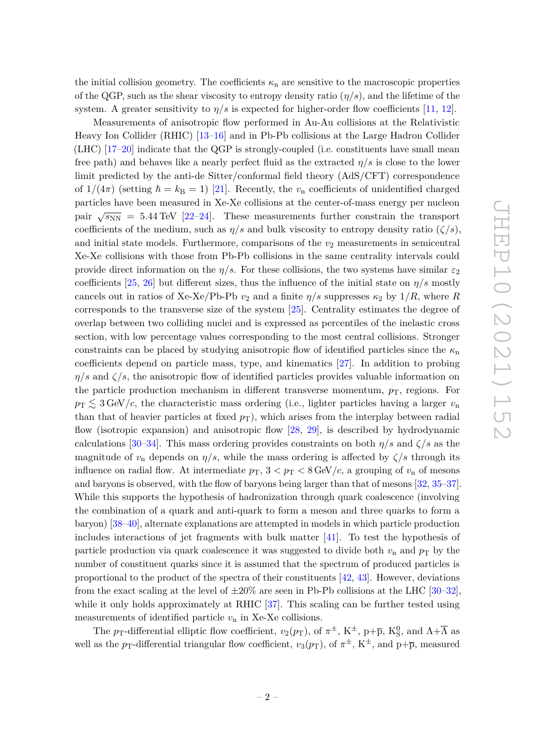the initial collision geometry. The coefficients  $\kappa_n$  are sensitive to the macroscopic properties of the QGP, such as the shear viscosity to entropy density ratio (*η/s*), and the lifetime of the system. A greater sensitivity to  $\eta/s$  is expected for higher-order flow coefficients [11, 12].

Measurements of anisotropic flow performed in Au-Au collisions at the Relativistic Heavy Ion Collider (RHIC) [13–16] and in Pb-Pb collisions at the Large Hadron Collider (LHC) [17–20] indicate that the QGP is strongly-coupled (i.e. constituents have small mean free path) and behaves like a nearly perfect fluid as the extracted *η/s* is close to the lower limit predicted by the anti-de Sitter/conformal field theory (AdS/CFT) correspondence of  $1/(4\pi)$  (setting  $\hbar = k_B = 1$ ) [21]. Recently, the  $v_n$  coefficients of unidentified charged particles have been measured in Xe-Xe collisions at the center-of-mass energy per nucleon pair  $\sqrt{s_{\rm NN}} = 5.44 \text{ TeV}$  [22–24]. These measurements further constrain the transport coefficients of the medium, such as  $\eta/s$  and bulk viscosity to entropy density ratio  $(\zeta/s)$ , and initial state models. Furthermore, comparisons of the  $v_2$  measurements in semicentral Xe-Xe collisions with those from Pb-Pb collisions in the same centrality intervals could provide direct information on the  $\eta/s$ . For these collisions, the two systems have similar  $\varepsilon_2$ coefficients [25, 26] but different sizes, thus the influence of the initial state on  $\eta/s$  mostly cancels out in ratios of Xe-Xe/Pb-Pb  $v_2$  and a finite  $\eta/s$  suppresses  $\kappa_2$  by  $1/R$ , where R corresponds to the transverse size of the system [25]. Centrality estimates the degree of overlap between two colliding nuclei and is expressed as percentiles of the inelastic cross section, with low percentage values corresponding to the most central collisions. Stronger constraints can be placed by studying anisotropic flow of identified particles since the  $\kappa_n$ coefficients depend on particle mass, type, and kinematics [27]. In addition to probing  $\eta/s$  and  $\zeta/s$ , the anisotropic flow of identified particles provides valuable information on the particle production mechanism in different transverse momentum,  $p<sub>T</sub>$ , regions. For  $p_{\rm T} \lesssim 3$  GeV/*c*, the characteristic mass ordering (i.e., lighter particles having a larger  $v_{\rm n}$ than that of heavier particles at fixed  $p_T$ ), which arises from the interplay between radial flow (isotropic expansion) and anisotropic flow [28, 29], is described by hydrodynamic calculations [30–34]. This mass ordering provides constraints on both *η/s* and *ζ/s* as the magnitude of  $v_n$  depends on  $\eta/s$ , while the mass ordering is affected by  $\zeta/s$  through its influence on radial flow. At intermediate  $p_T$ ,  $3 < p_T < 8$  GeV/*c*, a grouping of  $v_n$  of mesons and baryons is observed, with the flow of baryons being larger than that of mesons [32, 35–37]. While this supports the hypothesis of hadronization through quark coalescence (involving the combination of a quark and anti-quark to form a meson and three quarks to form a baryon) [38–40], alternate explanations are attempted in models in which particle production includes interactions of jet fragments with bulk matter [41]. To test the hypothesis of particle production via quark coalescence it was suggested to divide both  $v_n$  and  $p_T$  by the number of constituent quarks since it is assumed that the spectrum of produced particles is proportional to the product of the spectra of their constituents  $[42, 43]$ . However, deviations from the exact scaling at the level of  $\pm 20\%$  are seen in Pb-Pb collisions at the LHC [30–32], while it only holds approximately at RHIC [37]. This scaling can be further tested using measurements of identified particle  $v_n$  in Xe-Xe collisions.

The  $p_T$ -differential elliptic flow coefficient,  $v_2(p_T)$ , of  $\pi^{\pm}$ ,  $K^{\pm}$ ,  $p+\overline{p}$ ,  $K_S^0$ , and  $\Lambda+\overline{\Lambda}$  as well as the  $p_T$ -differential triangular flow coefficient,  $v_3(p_T)$ , of  $\pi^{\pm}$ ,  $K^{\pm}$ , and  $p+\overline{p}$ , measured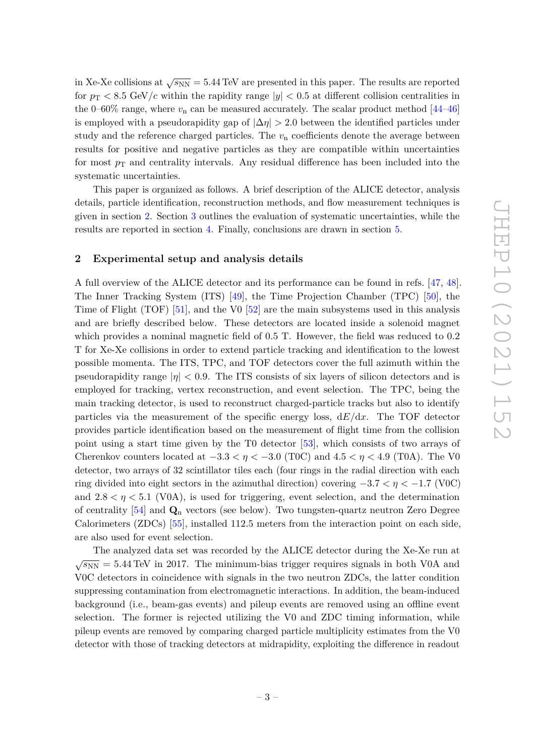in Xe-Xe collisions at  $\sqrt{s_{NN}} = 5.44$  TeV are presented in this paper. The results are reported for  $p_T < 8.5$  GeV/*c* within the rapidity range  $|y| < 0.5$  at different collision centralities in the 0–60% range, where  $v_n$  can be measured accurately. The scalar product method  $[44-46]$ is employed with a pseudorapidity gap of  $|\Delta \eta| > 2.0$  between the identified particles under study and the reference charged particles. The  $v_n$  coefficients denote the average between results for positive and negative particles as they are compatible within uncertainties for most  $p<sub>T</sub>$  and centrality intervals. Any residual difference has been included into the systematic uncertainties.

This paper is organized as follows. A brief description of the ALICE detector, analysis details, particle identification, reconstruction methods, and flow measurement techniques is given in section 2. Section 3 outlines the evaluation of systematic uncertainties, while the results are reported in section 4. Finally, conclusions are drawn in section 5.

#### **2 Experimental setup and analysis details**

A full overview of the ALICE detector and its performance can be found in refs. [47, 48]. The Inner Tracking System (ITS) [49], the Time Projection Chamber (TPC) [50], the Time of Flight (TOF) [51], and the V0 [52] are the main subsystems used in this analysis and are briefly described below. These detectors are located inside a solenoid magnet which provides a nominal magnetic field of  $0.5$  T. However, the field was reduced to  $0.2$ T for Xe-Xe collisions in order to extend particle tracking and identification to the lowest possible momenta. The ITS, TPC, and TOF detectors cover the full azimuth within the pseudorapidity range |*η*| *<* 0*.*9. The ITS consists of six layers of silicon detectors and is employed for tracking, vertex reconstruction, and event selection. The TPC, being the main tracking detector, is used to reconstruct charged-particle tracks but also to identify particles via the measurement of the specific energy loss,  $dE/dx$ . The TOF detector provides particle identification based on the measurement of flight time from the collision point using a start time given by the T0 detector [53], which consists of two arrays of Cherenkov counters located at  $-3.3 < \eta < -3.0$  (T0C) and  $4.5 < \eta < 4.9$  (T0A). The V0 detector, two arrays of 32 scintillator tiles each (four rings in the radial direction with each ring divided into eight sectors in the azimuthal direction) covering −3*.*7 *< η <* −1*.*7 (V0C) and  $2.8 < \eta < 5.1$  (V0A), is used for triggering, event selection, and the determination of centrality [54] and **Q**<sup>n</sup> vectors (see below). Two tungsten-quartz neutron Zero Degree Calorimeters (ZDCs) [55], installed 112.5 meters from the interaction point on each side, are also used for event selection.

The analyzed data set was recorded by the ALICE detector during the Xe-Xe run at  $\sqrt{s_{NN}} = 5.44 \text{ TeV}$  in 2017. The minimum-bias trigger requires signals in both V0A and V0C detectors in coincidence with signals in the two neutron ZDCs, the latter condition suppressing contamination from electromagnetic interactions. In addition, the beam-induced background (i.e., beam-gas events) and pileup events are removed using an offline event selection. The former is rejected utilizing the V0 and ZDC timing information, while pileup events are removed by comparing charged particle multiplicity estimates from the V0 detector with those of tracking detectors at midrapidity, exploiting the difference in readout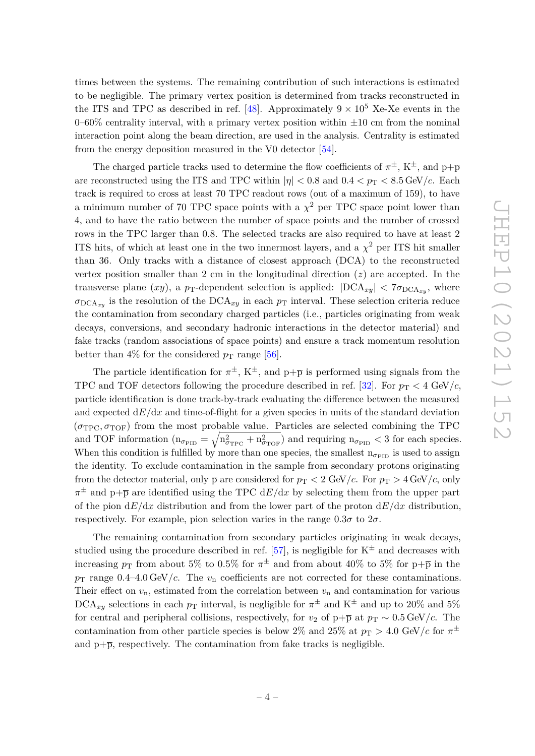times between the systems. The remaining contribution of such interactions is estimated to be negligible. The primary vertex position is determined from tracks reconstructed in the ITS and TPC as described in ref. [48]. Approximately  $9 \times 10^5$  Xe-Xe events in the 0–60% centrality interval, with a primary vertex position within  $\pm 10$  cm from the nominal interaction point along the beam direction, are used in the analysis. Centrality is estimated from the energy deposition measured in the V0 detector [54].

The charged particle tracks used to determine the flow coefficients of  $\pi^{\pm}$ , K<sup> $\pm$ </sup>, and p+ $\overline{p}$ are reconstructed using the ITS and TPC within  $|\eta| < 0.8$  and  $0.4 < p_T < 8.5$  GeV/*c*. Each track is required to cross at least 70 TPC readout rows (out of a maximum of 159), to have a minimum number of 70 TPC space points with a  $\chi^2$  per TPC space point lower than 4, and to have the ratio between the number of space points and the number of crossed rows in the TPC larger than 0.8. The selected tracks are also required to have at least 2 ITS hits, of which at least one in the two innermost layers, and a  $\chi^2$  per ITS hit smaller than 36. Only tracks with a distance of closest approach (DCA) to the reconstructed vertex position smaller than 2 cm in the longitudinal direction (*z*) are accepted. In the transverse plane  $(xy)$ , a  $p_T$ -dependent selection is applied:  $|DCA_{xy}| < 7\sigma_{DCA_{xy}}$ , where  $\sigma_{\text{DCA}_{xy}}$  is the resolution of the  $\text{DCA}_{xy}$  in each  $p_T$  interval. These selection criteria reduce the contamination from secondary charged particles (i.e., particles originating from weak decays, conversions, and secondary hadronic interactions in the detector material) and fake tracks (random associations of space points) and ensure a track momentum resolution better than  $4\%$  for the considered  $p_T$  range [56].

The particle identification for  $\pi^{\pm}$ , K<sup> $\pm$ </sup>, and p+ $\bar{p}$  is performed using signals from the TPC and TOF detectors following the procedure described in ref.  $[32]$ . For  $p_T < 4$  GeV/*c*, particle identification is done track-by-track evaluating the difference between the measured and expected  $dE/dx$  and time-of-flight for a given species in units of the standard deviation  $(\sigma_{TPC}, \sigma_{TOF})$  from the most probable value. Particles are selected combining the TPC and TOF information  $(n_{\sigma_{PID}} = \sqrt{n_{\sigma_{TPC}}^2 + n_{\sigma_{TOF}}^2})$  and requiring  $n_{\sigma_{PID}} < 3$  for each species. When this condition is fulfilled by more than one species, the smallest  $n_{\sigma_{\text{PID}}}$  is used to assign the identity. To exclude contamination in the sample from secondary protons originating from the detector material, only  $\bar{p}$  are considered for  $p_T < 2 \text{ GeV}/c$ . For  $p_T > 4 \text{ GeV}/c$ , only  $\pi^{\pm}$  and p+ $\bar{p}$  are identified using the TPC  $dE/dx$  by selecting them from the upper part of the pion  $dE/dx$  distribution and from the lower part of the proton  $dE/dx$  distribution, respectively. For example, pion selection varies in the range  $0.3\sigma$  to  $2\sigma$ .

The remaining contamination from secondary particles originating in weak decays, studied using the procedure described in ref. [57], is negligible for  $K^{\pm}$  and decreases with increasing  $p<sub>T</sub>$  from about 5% to 0.5% for  $\pi^{\pm}$  and from about 40% to 5% for p+ $\bar{p}$  in the  $p_T$  range 0.4–4.0 GeV/*c*. The  $v_n$  coefficients are not corrected for these contaminations. Their effect on  $v_n$ , estimated from the correlation between  $v_n$  and contamination for various DCA<sub>*xy*</sub> selections in each  $p<sub>T</sub>$  interval, is negligible for  $\pi^{\pm}$  and K<sup> $\pm$ </sup> and up to 20% and 5% for central and peripheral collisions, respectively, for *v*<sub>2</sub> of p+ $\bar{p}$  at  $p_T \sim 0.5 \,\text{GeV}/c$ . The contamination from other particle species is below 2\% and 25\% at  $p_T > 4.0$  GeV/ $c$  for  $\pi^{\pm}$ and  $p+\overline{p}$ , respectively. The contamination from fake tracks is negligible.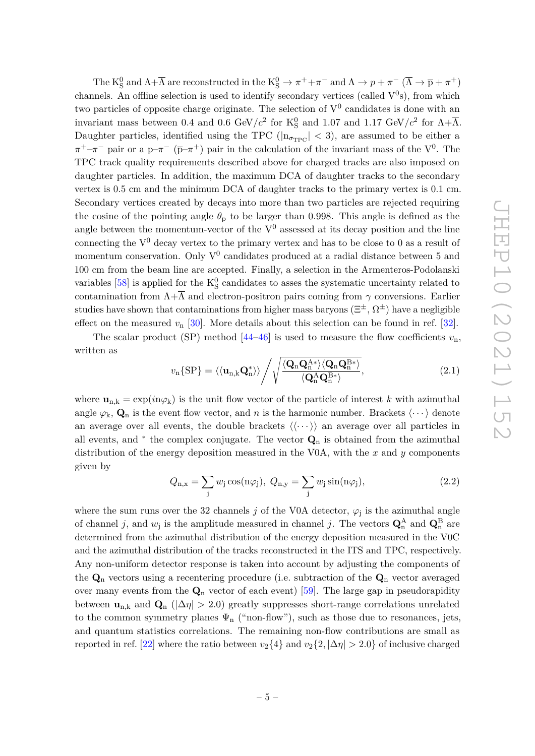The K<sup>0</sup><sub>S</sub> and  $\Lambda + \overline{\Lambda}$  are reconstructed in the K<sup>0</sup><sub>S</sub>  $\to \pi^+ + \pi^-$  and  $\Lambda \to p + \pi^-$  ( $\overline{\Lambda} \to \overline{p} + \pi^+$ ) channels. An offline selection is used to identify secondary vertices (called  $V^0$ s), from which two particles of opposite charge originate. The selection of  $V^0$  candidates is done with an invariant mass between 0.4 and 0.6  $\text{GeV}/c^2$  for  $\text{K}^0_\text{S}$  and 1.07 and 1.17  $\text{GeV}/c^2$  for  $\Lambda + \overline{\Lambda}$ . Daughter particles, identified using the TPC ( $|n_{\sigma_{\text{TPC}}}| < 3$ ), are assumed to be either a  $\pi^+$ – $\pi^-$  pair or a p– $\pi^-$  ( $\bar{p}$ – $\pi^+$ ) pair in the calculation of the invariant mass of the V<sup>0</sup>. The TPC track quality requirements described above for charged tracks are also imposed on daughter particles. In addition, the maximum DCA of daughter tracks to the secondary vertex is 0.5 cm and the minimum DCA of daughter tracks to the primary vertex is 0.1 cm. Secondary vertices created by decays into more than two particles are rejected requiring the cosine of the pointing angle  $\theta_p$  to be larger than 0.998. This angle is defined as the angle between the momentum-vector of the  $V^0$  assessed at its decay position and the line connecting the  $V^0$  decay vertex to the primary vertex and has to be close to 0 as a result of momentum conservation. Only  $V^0$  candidates produced at a radial distance between 5 and 100 cm from the beam line are accepted. Finally, a selection in the Armenteros-Podolanski variables [58] is applied for the  $K^0_S$  candidates to asses the systematic uncertainty related to contamination from  $\Lambda + \overline{\Lambda}$  and electron-positron pairs coming from  $\gamma$  conversions. Earlier studies have shown that contaminations from higher mass baryons  $(\Xi^{\pm}, \Omega^{\pm})$  have a negligible effect on the measured  $v_n$  [30]. More details about this selection can be found in ref. [32].

The scalar product (SP) method  $[44-46]$  is used to measure the flow coefficients  $v_n$ , written as

$$
v_{\rm n} {\rm \{SP\}} = \langle \langle {\bf u}_{\rm n,k} {\bf Q}_{\rm n}^* \rangle \rangle / \sqrt{\frac{\langle {\bf Q}_{\rm n} {\bf Q}_{\rm n}^{\rm A*} \rangle \langle {\bf Q}_{\rm n} {\bf Q}_{\rm n}^{\rm B*} \rangle}{\langle {\bf Q}_{\rm n}^{\rm A} {\bf Q}_{\rm n}^{\rm B*} \rangle}}, \tag{2.1}
$$

where  $\mathbf{u}_{n,k} = \exp(i n \varphi_k)$  is the unit flow vector of the particle of interest k with azimuthal angle  $\varphi_k$ ,  $\mathbf{Q}_n$  is the event flow vector, and *n* is the harmonic number. Brackets  $\langle \cdots \rangle$  denote an average over all events, the double brackets  $\langle \langle \cdots \rangle \rangle$  an average over all particles in all events, and <sup>∗</sup> the complex conjugate. The vector **Q**<sup>n</sup> is obtained from the azimuthal distribution of the energy deposition measured in the V0A, with the *x* and *y* components given by

$$
Q_{n,x} = \sum_{j} w_j \cos(n\varphi_j), \ Q_{n,y} = \sum_{j} w_j \sin(n\varphi_j), \tag{2.2}
$$

where the sum runs over the 32 channels  $j$  of the V0A detector,  $\varphi_j$  is the azimuthal angle of channel *j*, and  $w_j$  is the amplitude measured in channel *j*. The vectors  $\mathbf{Q}_n^{\text{A}}$  and  $\mathbf{Q}_n^{\text{B}}$  are determined from the azimuthal distribution of the energy deposition measured in the V0C and the azimuthal distribution of the tracks reconstructed in the ITS and TPC, respectively. Any non-uniform detector response is taken into account by adjusting the components of the **Q**<sup>n</sup> vectors using a recentering procedure (i.e. subtraction of the **Q**<sup>n</sup> vector averaged over many events from the **Q**<sup>n</sup> vector of each event) [59]. The large gap in pseudorapidity between  $\mathbf{u}_{n,k}$  and  $\mathbf{Q}_n$  ( $|\Delta \eta| > 2.0$ ) greatly suppresses short-range correlations unrelated to the common symmetry planes  $\Psi_n$  ("non-flow"), such as those due to resonances, jets, and quantum statistics correlations. The remaining non-flow contributions are small as reported in ref. [22] where the ratio between  $v_2\{4\}$  and  $v_2\{2, |\Delta \eta| > 2.0\}$  of inclusive charged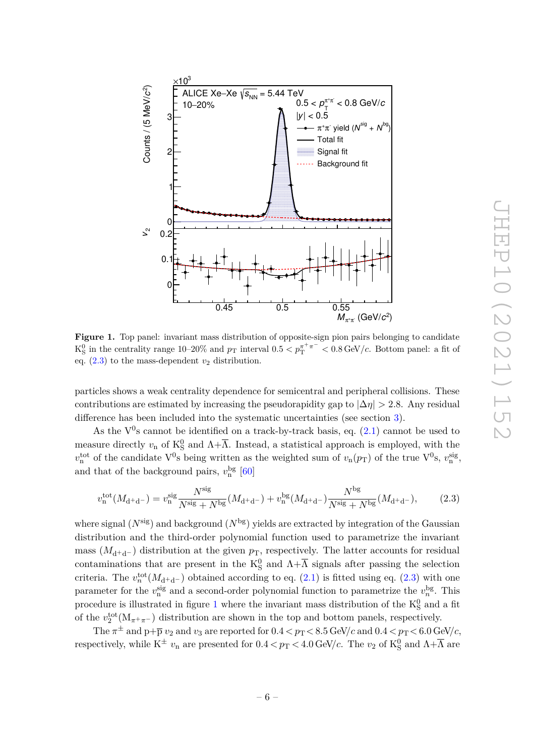

Figure 1. Top panel: invariant mass distribution of opposite-sign pion pairs belonging to candidate  $K_S^0$  in the centrality range 10–20% and  $p_T$  interval  $0.5 < p_T^{\pi^+\pi^-} < 0.8 \,\text{GeV}/c$ . Bottom panel: a fit of eq.  $(2.3)$  to the mass-dependent  $v_2$  distribution.

particles shows a weak centrality dependence for semicentral and peripheral collisions. These contributions are estimated by increasing the pseudorapidity gap to  $|\Delta \eta| > 2.8$ . Any residual difference has been included into the systematic uncertainties (see section 3).

As the  $V^0$ s cannot be identified on a track-by-track basis, eq.  $(2.1)$  cannot be used to measure directly  $v_n$  of  $K_S^0$  and  $\Lambda + \overline{\Lambda}$ . Instead, a statistical approach is employed, with the  $v_n^{\text{tot}}$  of the candidate  $V^0$ s being written as the weighted sum of  $v_n(p_T)$  of the true  $V^0$ s,  $v_n^{\text{sig}}$ , and that of the background pairs,  $v_{\rm n}^{\rm bg}$  [60]

$$
v_{n}^{\text{tot}}(M_{\text{d}+\text{d}^{-}}) = v_{n}^{\text{sig}} \frac{N^{\text{sig}}}{N^{\text{sig}} + N^{\text{bg}}}(M_{\text{d}+\text{d}^{-}}) + v_{n}^{\text{bg}}(M_{\text{d}+\text{d}^{-}}) \frac{N^{\text{bg}}}{N^{\text{sig}} + N^{\text{bg}}}(M_{\text{d}+\text{d}^{-}}),
$$
(2.3)

where signal  $(N^{\text{sig}})$  and background  $(N^{\text{bg}})$  yields are extracted by integration of the Gaussian distribution and the third-order polynomial function used to parametrize the invariant mass  $(M_{d+d-})$  distribution at the given  $p<sub>T</sub>$ , respectively. The latter accounts for residual contaminations that are present in the  $K^0_S$  and  $\Lambda + \overline{\Lambda}$  signals after passing the selection criteria. The  $v_n^{\text{tot}}(M_{d+d-})$  obtained according to eq. (2.1) is fitted using eq. (2.3) with one parameter for the  $v_n^{\text{sig}}$  and a second-order polynomial function to parametrize the  $v_n^{\text{bg}}$ . This procedure is illustrated in figure 1 where the invariant mass distribution of the  $K^0_S$  and a fit of the  $v_2^{\text{tot}}(M_{\pi^+\pi^-})$  distribution are shown in the top and bottom panels, respectively.

The  $\pi^{\pm}$  and  $p+\overline{p}$   $v_2$  and  $v_3$  are reported for  $0.4 < p_T < 8.5$  GeV/*c* and  $0.4 < p_T < 6.0$  GeV/*c*, respectively, while  $K^{\pm}$   $v_n$  are presented for  $0.4 < p_T < 4.0$  GeV/*c*. The  $v_2$  of  $K^0_S$  and  $\Lambda + \overline{\Lambda}$  are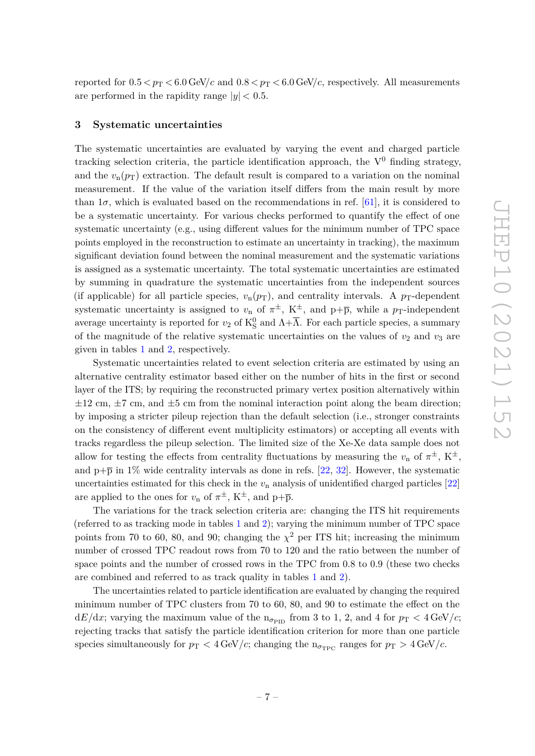reported for  $0.5 < p_T < 6.0$  GeV/*c* and  $0.8 < p_T < 6.0$  GeV/*c*, respectively. All measurements are performed in the rapidity range  $|y| < 0.5$ .

## **3 Systematic uncertainties**

The systematic uncertainties are evaluated by varying the event and charged particle tracking selection criteria, the particle identification approach, the  $V^0$  finding strategy, and the  $v_n(p_T)$  extraction. The default result is compared to a variation on the nominal measurement. If the value of the variation itself differs from the main result by more than  $1\sigma$ , which is evaluated based on the recommendations in ref. [61], it is considered to be a systematic uncertainty. For various checks performed to quantify the effect of one systematic uncertainty (e.g., using different values for the minimum number of TPC space points employed in the reconstruction to estimate an uncertainty in tracking), the maximum significant deviation found between the nominal measurement and the systematic variations is assigned as a systematic uncertainty. The total systematic uncertainties are estimated by summing in quadrature the systematic uncertainties from the independent sources (if applicable) for all particle species,  $v_n(p_T)$ , and centrality intervals. A  $p_T$ -dependent systematic uncertainty is assigned to  $v_n$  of  $\pi^{\pm}$ , K<sup> $\pm$ </sup>, and p+ $\overline{p}$ , while a  $p_T$ -independent average uncertainty is reported for  $v_2$  of  $K^0_S$  and  $\Lambda + \overline{\Lambda}$ . For each particle species, a summary of the magnitude of the relative systematic uncertainties on the values of  $v_2$  and  $v_3$  are given in tables 1 and 2, respectively.

Systematic uncertainties related to event selection criteria are estimated by using an alternative centrality estimator based either on the number of hits in the first or second layer of the ITS; by requiring the reconstructed primary vertex position alternatively within  $\pm 12$  cm,  $\pm 7$  cm, and  $\pm 5$  cm from the nominal interaction point along the beam direction; by imposing a stricter pileup rejection than the default selection (i.e., stronger constraints on the consistency of different event multiplicity estimators) or accepting all events with tracks regardless the pileup selection. The limited size of the Xe-Xe data sample does not allow for testing the effects from centrality fluctuations by measuring the  $v_n$  of  $\pi^{\pm}$ ,  $K^{\pm}$ , and  $p+\overline{p}$  in 1% wide centrality intervals as done in refs. [22, 32]. However, the systematic uncertainties estimated for this check in the  $v_n$  analysis of unidentified charged particles  $[22]$ are applied to the ones for  $v_n$  of  $\pi^{\pm}$ ,  $K^{\pm}$ , and  $p+\overline{p}$ .

The variations for the track selection criteria are: changing the ITS hit requirements (referred to as tracking mode in tables 1 and 2); varying the minimum number of TPC space points from 70 to 60, 80, and 90; changing the  $\chi^2$  per ITS hit; increasing the minimum number of crossed TPC readout rows from 70 to 120 and the ratio between the number of space points and the number of crossed rows in the TPC from 0.8 to 0.9 (these two checks are combined and referred to as track quality in tables 1 and 2).

The uncertainties related to particle identification are evaluated by changing the required minimum number of TPC clusters from 70 to 60, 80, and 90 to estimate the effect on the  $dE/dx$ ; varying the maximum value of the  $n_{\sigma_{PID}}$  from 3 to 1, 2, and 4 for  $p_T < 4 \text{ GeV}/c$ ; rejecting tracks that satisfy the particle identification criterion for more than one particle species simultaneously for  $p_T < 4 \text{ GeV}/c$ ; changing the  $n_{\sigma_T}$  ranges for  $p_T > 4 \text{ GeV}/c$ .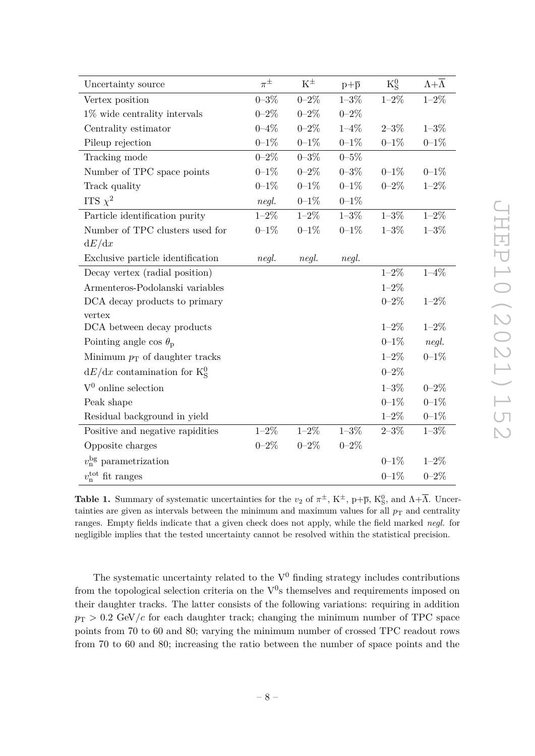| Uncertainty source                      | $\pi^{\pm}$     | $K^{\pm}$       | $p + \overline{p}$ | $K_S^0$         | $\Lambda + \overline{\Lambda}$ |
|-----------------------------------------|-----------------|-----------------|--------------------|-----------------|--------------------------------|
| Vertex position                         | $0\text{--}3\%$ | $0\text{--}2\%$ | $1\text{--}3\%$    | $1 - 2\%$       | $1 - 2\%$                      |
| 1% wide centrality intervals            | $0 - 2\%$       | $0\text{--}2\%$ | $0 - 2\%$          |                 |                                |
| Centrality estimator                    | $0 - 4\%$       | $0 - 2\%$       | $1 - 4\%$          | $2 - 3\%$       | $1 - 3\%$                      |
| Pileup rejection                        | $0 - 1\%$       | $0 - 1\%$       | $0 - 1\%$          | $0 - 1\%$       | $0 - 1\%$                      |
| Tracking mode                           | $0 - 2\%$       | $0 - 3\%$       | $0 - 5\%$          |                 |                                |
| Number of TPC space points              | $0 - 1\%$       | $0 - 2\%$       | $0 - 3\%$          | $0 - 1\%$       | $0 - 1\%$                      |
| Track quality                           | $0 - 1\%$       | $0 - 1\%$       | $0 - 1\%$          | $0 - 2\%$       | $1 - 2\%$                      |
| ITS $\chi^2$                            | negl.           | $0 - 1\%$       | $0 - 1\%$          |                 |                                |
| Particle identification purity          | $1\text{--}2\%$ | $1\text{--}2\%$ | $1\text{--}3\%$    | $1 - 3\%$       | $1\text{--}2\%$                |
| Number of TPC clusters used for         | $0 - 1\%$       | $0\text{--}1\%$ | $0 - 1\%$          | $1\text{--}3\%$ | $1\text{--}3\%$                |
| dE/dx                                   |                 |                 |                    |                 |                                |
| Exclusive particle identification       | negl.           | negl.           | negl.              |                 |                                |
| Decay vertex (radial position)          |                 |                 |                    | $1 - 2\%$       | $1 - 4\%$                      |
| Armenteros-Podolanski variables         |                 |                 |                    | $1 - 2\%$       |                                |
| DCA decay products to primary           |                 |                 |                    | $0 - 2\%$       | $1 - 2\%$                      |
| vertex                                  |                 |                 |                    |                 |                                |
| DCA between decay products              |                 |                 |                    | $1\text{--}2\%$ | $1 - 2\%$                      |
| Pointing angle cos $\theta_p$           |                 |                 |                    | $0 - 1\%$       | negl.                          |
| Minimum $p_T$ of daughter tracks        |                 |                 |                    | $1\text{--}2\%$ | $0 - 1\%$                      |
| $dE/dx$ contamination for $K_{\rm S}^0$ |                 |                 |                    | $0 - 2\%$       |                                |
| $V^0$ online selection                  |                 |                 |                    | $1 - 3\%$       | $0 - 2\%$                      |
| Peak shape                              |                 |                 |                    | $0 - 1\%$       | $0 - 1\%$                      |
| Residual background in yield            |                 |                 |                    | $1 - 2\%$       | $0 - 1\%$                      |
| Positive and negative rapidities        | $1 - 2\%$       | $1\text{--}2\%$ | $1\text{--}3\%$    | $2 - 3\%$       | $1 - 3\%$                      |
| Opposite charges                        | $0 - 2\%$       | $0\text{--}2\%$ | $0 - 2\%$          |                 |                                |
| $v_{\rm n}^{\rm bg}$ parametrization    |                 |                 |                    | $0 - 1\%$       | $1 - 2\%$                      |
| $v_{\rm n}^{\rm tot}$ fit ranges        |                 |                 |                    | $0 - 1\%$       | $0 - 2\%$                      |

JHEP10(2021)152 THEP10(2021)152

**Table 1.** Summary of systematic uncertainties for the  $v_2$  of  $\pi^{\pm}$ , K<sup> $\pm$ </sup>, p+ $\bar{p}$ , K<sup>0</sup><sub>S</sub>, and  $\Lambda + \bar{\Lambda}$ . Uncertainties are given as intervals between the minimum and maximum values for all  $p_T$  and centrality ranges. Empty fields indicate that a given check does not apply, while the field marked *negl.* for negligible implies that the tested uncertainty cannot be resolved within the statistical precision.

The systematic uncertainty related to the  $V<sup>0</sup>$  finding strategy includes contributions from the topological selection criteria on the  $V^0$ s themselves and requirements imposed on their daughter tracks. The latter consists of the following variations: requiring in addition  $p_T > 0.2$  GeV/*c* for each daughter track; changing the minimum number of TPC space points from 70 to 60 and 80; varying the minimum number of crossed TPC readout rows from 70 to 60 and 80; increasing the ratio between the number of space points and the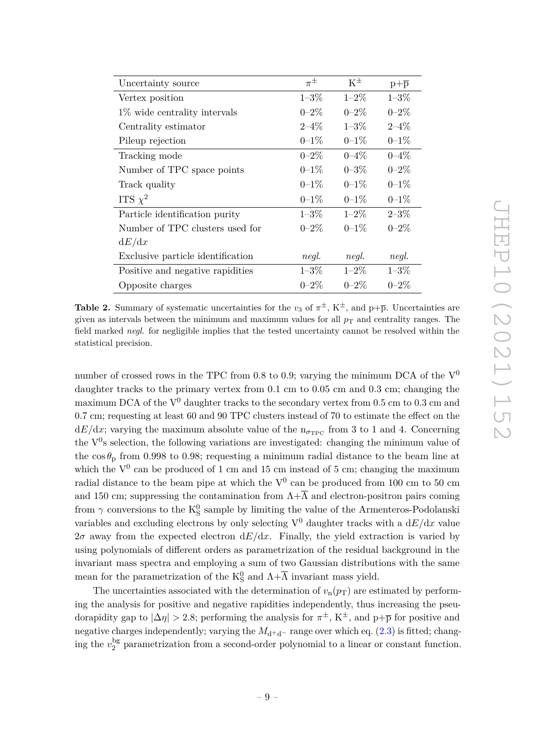| Uncertainty source                | $\pi^{\pm}$ | $\mathrm{K}^{\pm}$ | $p + \overline{p}$ |
|-----------------------------------|-------------|--------------------|--------------------|
| Vertex position                   | $1 - 3\%$   | $1 - 2\%$          | $1 - 3\%$          |
| $1\%$ wide centrality intervals   | $0 - 2\%$   | $0 - 2\%$          | $0 - 2\%$          |
| Centrality estimator              | $2 - 4\%$   | $1 - 3\%$          | $2 - 4\%$          |
| Pileup rejection                  | $0 - 1\%$   | $0 - 1\%$          | $0 - 1\%$          |
| Tracking mode                     | $0 - 2\%$   | $0 - 4\%$          | $0 - 4\%$          |
| Number of TPC space points        | $0 - 1\%$   | $0 - 3\%$          | $0 - 2\%$          |
| Track quality                     | $0 - 1\%$   | $0 - 1\%$          | $0 - 1\%$          |
| ITS $\chi^2$                      | $0 - 1\%$   | $0 - 1\%$          | $0 - 1\%$          |
| Particle identification purity    | $1 - 3\%$   | $1 - 2\%$          | $2 - 3\%$          |
| Number of TPC clusters used for   | $0 - 2\%$   | $0 - 1\%$          | $0 - 2\%$          |
| dE/dx                             |             |                    |                    |
| Exclusive particle identification | negl.       | negl.              | negl.              |
| Positive and negative rapidities  | $1 - 3\%$   | $1 - 2\%$          | $1 - 3\%$          |
| Opposite charges                  | $0 - 2\%$   | $0 - 2\%$          | $0 - 2\%$          |

**Table 2.** Summary of systematic uncertainties for the  $v_3$  of  $\pi^{\pm}$ , K<sup> $\pm$ </sup>, and p+ $\bar{p}$ . Uncertainties are given as intervals between the minimum and maximum values for all  $p_T$  and centrality ranges. The field marked *negl.* for negligible implies that the tested uncertainty cannot be resolved within the statistical precision.

number of crossed rows in the TPC from 0.8 to 0.9; varying the minimum DCA of the  $V^0$ daughter tracks to the primary vertex from 0.1 cm to 0.05 cm and 0.3 cm; changing the maximum DCA of the  $V^0$  daughter tracks to the secondary vertex from 0.5 cm to 0.3 cm and 0.7 cm; requesting at least 60 and 90 TPC clusters instead of 70 to estimate the effect on the  $dE/dx$ ; varying the maximum absolute value of the  $n_{\sigma TPC}$  from 3 to 1 and 4. Concerning the  $V^0$ s selection, the following variations are investigated: changing the minimum value of the  $\cos \theta_p$  from 0.998 to 0.98; requesting a minimum radial distance to the beam line at which the  $V^0$  can be produced of 1 cm and 15 cm instead of 5 cm; changing the maximum radial distance to the beam pipe at which the  $V^0$  can be produced from 100 cm to 50 cm and 150 cm; suppressing the contamination from  $\Lambda + \overline{\Lambda}$  and electron-positron pairs coming from  $\gamma$  conversions to the K<sup>0</sup><sub>S</sub> sample by limiting the value of the Armenteros-Podolanski variables and excluding electrons by only selecting  $V^0$  daughter tracks with a  $dE/dx$  value  $2\sigma$  away from the expected electron  $dE/dx$ . Finally, the yield extraction is varied by using polynomials of different orders as parametrization of the residual background in the invariant mass spectra and employing a sum of two Gaussian distributions with the same mean for the parametrization of the  $K^0_S$  and  $\Lambda + \overline{\Lambda}$  invariant mass yield.

The uncertainties associated with the determination of  $v_n(p_T)$  are estimated by performing the analysis for positive and negative rapidities independently, thus increasing the pseudorapidity gap to  $|\Delta \eta| > 2.8$ ; performing the analysis for  $\pi^{\pm}$ ,  $K^{\pm}$ , and  $p+\overline{p}$  for positive and negative charges independently; varying the  $M_{d+d}$ − range over which eq. (2.3) is fitted; changing the  $v_2^{\text{bg}}$  parametrization from a second-order polynomial to a linear or constant function.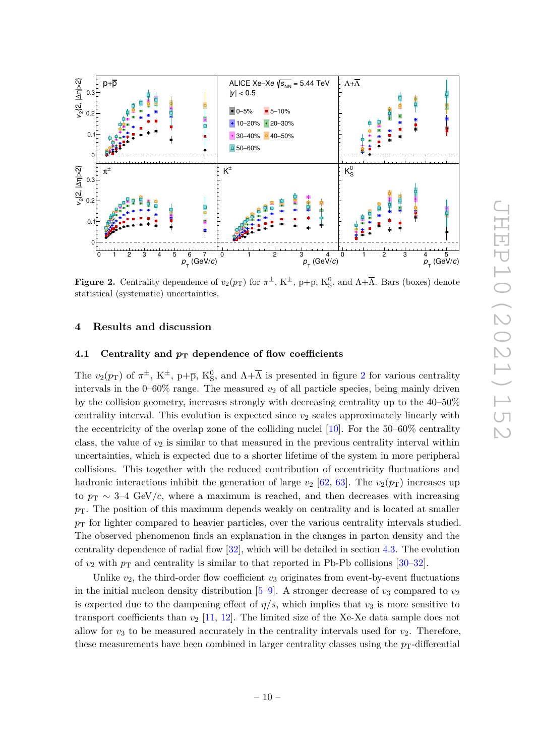

**Figure 2.** Centrality dependence of  $v_2(p_T)$  for  $\pi^{\pm}$ ,  $K^{\pm}$ ,  $p+\overline{p}$ ,  $K^0_S$ , and  $\Lambda+\overline{\Lambda}$ . Bars (boxes) denote statistical (systematic) uncertainties.

#### **4 Results and discussion**

#### **4.1** Centrality and  $p<sub>T</sub>$  dependence of flow coefficients

The  $v_2(p_T)$  of  $\pi^{\pm}$ ,  $K^{\pm}$ ,  $p+\overline{p}$ ,  $K_S^0$ , and  $\Lambda+\overline{\Lambda}$  is presented in figure 2 for various centrality intervals in the  $0-60\%$  range. The measured  $v_2$  of all particle species, being mainly driven by the collision geometry, increases strongly with decreasing centrality up to the 40–50% centrality interval. This evolution is expected since  $v_2$  scales approximately linearly with the eccentricity of the overlap zone of the colliding nuclei  $[10]$ . For the 50–60% centrality class, the value of  $v_2$  is similar to that measured in the previous centrality interval within uncertainties, which is expected due to a shorter lifetime of the system in more peripheral collisions. This together with the reduced contribution of eccentricity fluctuations and hadronic interactions inhibit the generation of large  $v_2$  [62, 63]. The  $v_2(p_T)$  increases up to *p*<sup>T</sup> ∼ 3–4 GeV/*c*, where a maximum is reached, and then decreases with increasing *p*T. The position of this maximum depends weakly on centrality and is located at smaller *p*<sup>T</sup> for lighter compared to heavier particles, over the various centrality intervals studied. The observed phenomenon finds an explanation in the changes in parton density and the centrality dependence of radial flow [32], which will be detailed in section 4.3. The evolution of  $v_2$  with  $p_T$  and centrality is similar to that reported in Pb-Pb collisions  $[30-32]$ .

Unlike  $v_2$ , the third-order flow coefficient  $v_3$  originates from event-by-event fluctuations in the initial nucleon density distribution  $[5-9]$ . A stronger decrease of  $v_3$  compared to  $v_2$ is expected due to the dampening effect of  $\eta/s$ , which implies that  $v_3$  is more sensitive to transport coefficients than  $v_2$  [11, 12]. The limited size of the Xe-Xe data sample does not allow for  $v_3$  to be measured accurately in the centrality intervals used for  $v_2$ . Therefore, these measurements have been combined in larger centrality classes using the  $p_T$ -differential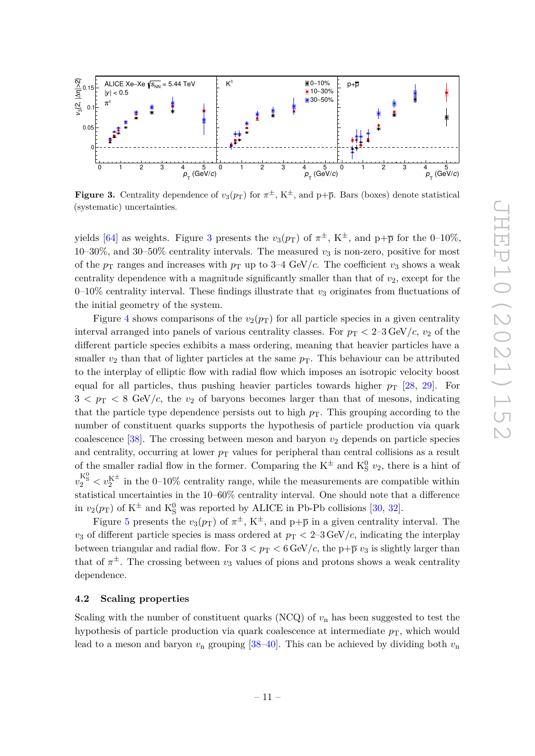

**Figure 3.** Centrality dependence of  $v_3(p_T)$  for  $\pi^{\pm}$ , K<sup> $\pm$ </sup>, and p+ $\bar{p}$ . Bars (boxes) denote statistical (systematic) uncertainties.

yields [64] as weights. Figure 3 presents the  $v_3(p_T)$  of  $\pi^{\pm}$ , K<sup> $\pm$ </sup>, and p+ $\overline{p}$  for the 0–10%,  $10-30\%$ , and  $30-50\%$  centrality intervals. The measured  $v_3$  is non-zero, positive for most of the  $p_T$  ranges and increases with  $p_T$  up to 3–4 GeV/*c*. The coefficient  $v_3$  shows a weak centrality dependence with a magnitude significantly smaller than that of *v*2, except for the  $0-10\%$  centrality interval. These findings illustrate that  $v_3$  originates from fluctuations of the initial geometry of the system.

Figure 4 shows comparisons of the  $v_2(p_T)$  for all particle species in a given centrality interval arranged into panels of various centrality classes. For  $p_T < 2-3 \text{ GeV}/c$ ,  $v_2$  of the different particle species exhibits a mass ordering, meaning that heavier particles have a smaller  $v_2$  than that of lighter particles at the same  $p_T$ . This behaviour can be attributed to the interplay of elliptic flow with radial flow which imposes an isotropic velocity boost equal for all particles, thus pushing heavier particles towards higher  $p_T$  [28, 29]. For  $3 < p<sub>T</sub> < 8$  GeV/c, the  $v<sub>2</sub>$  of baryons becomes larger than that of mesons, indicating that the particle type dependence persists out to high  $p<sub>T</sub>$ . This grouping according to the number of constituent quarks supports the hypothesis of particle production via quark coalescence  $[38]$ . The crossing between meson and baryon  $v_2$  depends on particle species and centrality, occurring at lower  $p<sub>T</sub>$  values for peripheral than central collisions as a result of the smaller radial flow in the former. Comparing the  $K^{\pm}$  and  $K_{S}^{0}$   $v_{2}$ , there is a hint of  $v_2^{\text{K}_\text{S}^0} < v_2^{\text{K}^\pm}$  in the 0–10% centrality range, while the measurements are compatible within statistical uncertainties in the 10–60% centrality interval. One should note that a difference in  $v_2(p_T)$  of  $K^{\pm}$  and  $K^0_S$  was reported by ALICE in Pb-Pb collisions [30, 32].

Figure 5 presents the  $v_3(p_T)$  of  $\pi^{\pm}$ ,  $K^{\pm}$ , and  $p+\overline{p}$  in a given centrality interval. The  $v_3$  of different particle species is mass ordered at  $p_T < 2{\text -}3 \text{ GeV}/c$ , indicating the interplay between triangular and radial flow. For  $3 < p_T < 6$  GeV/c, the  $p + \overline{p} v_3$  is slightly larger than that of  $\pi^{\pm}$ . The crossing between  $v_3$  values of pions and protons shows a weak centrality dependence.

## **4.2 Scaling properties**

Scaling with the number of constituent quarks (NCQ) of  $v_n$  has been suggested to test the hypothesis of particle production via quark coalescence at intermediate  $p<sub>T</sub>$ , which would lead to a meson and baryon  $v_n$  grouping  $[38-40]$ . This can be achieved by dividing both  $v_n$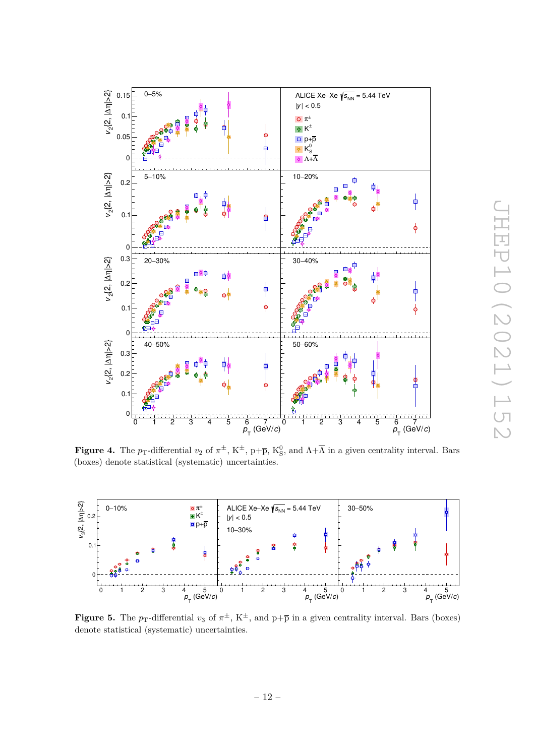

**Figure 4.** The  $p_T$ -differential  $v_2$  of  $\pi^{\pm}$ ,  $K^{\pm}$ ,  $p+\overline{p}$ ,  $K^0_S$ , and  $\Lambda+\overline{\Lambda}$  in a given centrality interval. Bars (boxes) denote statistical (systematic) uncertainties.



**Figure 5.** The  $p_T$ -differential  $v_3$  of  $\pi^{\pm}$ , K<sup> $\pm$ </sup>, and  $p+\overline{p}$  in a given centrality interval. Bars (boxes) denote statistical (systematic) uncertainties.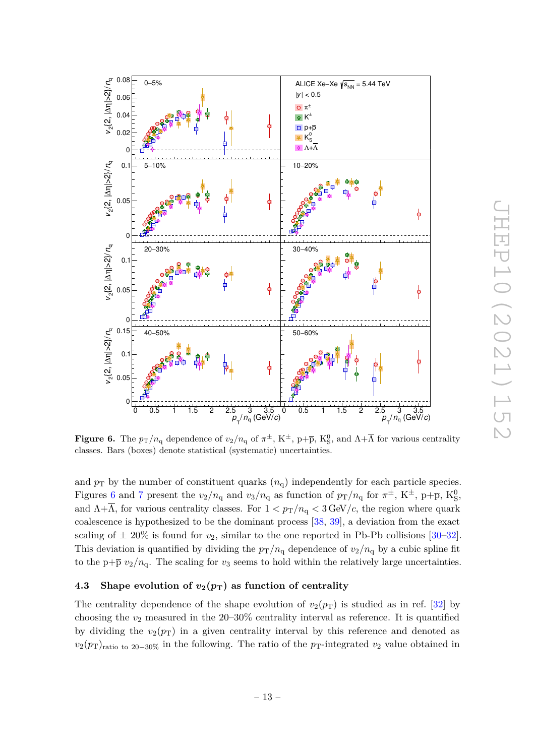

**Figure 6.** The  $p_T/n_q$  dependence of  $v_2/n_q$  of  $\pi^{\pm}$ , K<sup> $\pm$ </sup>, p+ $\overline{p}$ , K<sup>0</sup><sub>S</sub>, and  $\Lambda + \overline{\Lambda}$  for various centrality classes. Bars (boxes) denote statistical (systematic) uncertainties.

and  $p_T$  by the number of constituent quarks  $(n_q)$  independently for each particle species. Figures 6 and 7 present the  $v_2/n_q$  and  $v_3/n_q$  as function of  $p_T/n_q$  for  $\pi^{\pm}$ ,  $K^{\pm}$ ,  $p+\overline{p}$ ,  $K_S^0$ , and  $\Lambda + \overline{\Lambda}$ , for various centrality classes. For  $1 < p_T/n_q < 3 \text{ GeV}/c$ , the region where quark coalescence is hypothesized to be the dominant process [38, 39], a deviation from the exact scaling of  $\pm 20\%$  is found for  $v_2$ , similar to the one reported in Pb-Pb collisions [30–32]. This deviation is quantified by dividing the  $p_T/n_q$  dependence of  $v_2/n_q$  by a cubic spline fit to the  $p+\overline{p} v_2/n_q$ . The scaling for  $v_3$  seems to hold within the relatively large uncertainties.

# **4.3** Shape evolution of  $v_2(p_T)$  as function of centrality

The centrality dependence of the shape evolution of  $v_2(p_T)$  is studied as in ref. [32] by choosing the  $v_2$  measured in the  $20-30\%$  centrality interval as reference. It is quantified by dividing the  $v_2(p_T)$  in a given centrality interval by this reference and denoted as  $v_2(p_T)$ <sub>ratio to 20–30% in the following. The ratio of the *p*T-integrated *v*<sub>2</sub> value obtained in</sub>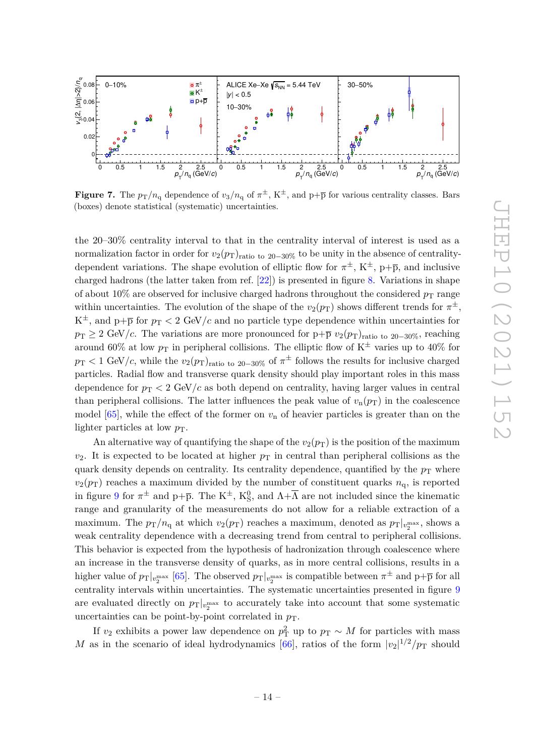

**Figure 7.** The  $p_T/n_q$  dependence of  $v_3/n_q$  of  $\pi^{\pm}$ , K<sup> $\pm$ </sup>, and p+ $\overline{p}$  for various centrality classes. Bars (boxes) denote statistical (systematic) uncertainties.

the 20–30% centrality interval to that in the centrality interval of interest is used as a normalization factor in order for  $v_2(p_T)_{\text{ratio to } 20-30\%}$  to be unity in the absence of centralitydependent variations. The shape evolution of elliptic flow for  $\pi^{\pm}$ , K<sup> $\pm$ </sup>, p+ $\bar{p}$ , and inclusive charged hadrons (the latter taken from ref. [22]) is presented in figure 8. Variations in shape of about 10% are observed for inclusive charged hadrons throughout the considered  $p<sub>T</sub>$  range within uncertainties. The evolution of the shape of the  $v_2(p_T)$  shows different trends for  $\pi^{\pm}$ ,  $K^{\pm}$ , and  $p+\overline{p}$  for  $p_T < 2$  GeV/c and no particle type dependence within uncertainties for  $p_T \geq 2$  GeV/*c*. The variations are more pronounced for p+ $\bar{p}$  *v*<sub>2</sub>( $p_T$ )<sub>ratio to 20–30%, reaching</sub> around 60% at low  $p_T$  in peripheral collisions. The elliptic flow of  $K^{\pm}$  varies up to 40% for  $p_{\rm T}$  *<* 1 GeV/*c*, while the  $v_2(p_{\rm T})_{\rm ratio\ to\ 20-30\%}$  of  $\pi^{\pm}$  follows the results for inclusive charged particles. Radial flow and transverse quark density should play important roles in this mass dependence for  $p_T < 2 \text{ GeV}/c$  as both depend on centrality, having larger values in central than peripheral collisions. The latter influences the peak value of  $v_n(p_T)$  in the coalescence model  $[65]$ , while the effect of the former on  $v_n$  of heavier particles is greater than on the lighter particles at low  $p_T$ .

An alternative way of quantifying the shape of the  $v_2(p_T)$  is the position of the maximum  $v_2$ . It is expected to be located at higher  $p<sub>T</sub>$  in central than peripheral collisions as the quark density depends on centrality. Its centrality dependence, quantified by the  $p<sub>T</sub>$  where  $v_2(p_T)$  reaches a maximum divided by the number of constituent quarks  $n_q$ , is reported in figure 9 for  $\pi^{\pm}$  and p+ $\bar{p}$ . The K<sup> $\pm$ </sup>, K<sup>0</sup><sub>S</sub>, and  $\Lambda + \bar{\Lambda}$  are not included since the kinematic range and granularity of the measurements do not allow for a reliable extraction of a maximum. The  $p_T/n_q$  at which  $v_2(p_T)$  reaches a maximum, denoted as  $p_T|_{v_2^{\max}}$ , shows a weak centrality dependence with a decreasing trend from central to peripheral collisions. This behavior is expected from the hypothesis of hadronization through coalescence where an increase in the transverse density of quarks, as in more central collisions, results in a higher value of  $p_T|_{v_2^{\max}}$  [65]. The observed  $p_T|_{v_2^{\max}}$  is compatible between  $\pi^{\pm}$  and  $p+\overline{p}$  for all centrality intervals within uncertainties. The systematic uncertainties presented in figure 9 are evaluated directly on  $p_T|_{v_2^{\max}}$  to accurately take into account that some systematic uncertainties can be point-by-point correlated in  $p<sub>T</sub>$ .

If  $v_2$  exhibits a power law dependence on  $p_T^2$  up to  $p_T \sim M$  for particles with mass *M* as in the scenario of ideal hydrodynamics [66], ratios of the form  $|v_2|^{1/2}/p_T$  should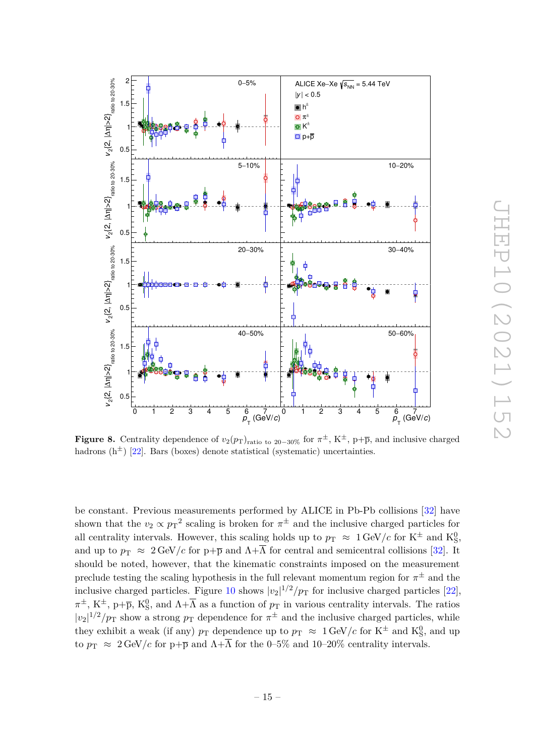

**Figure 8.** Centrality dependence of  $v_2(p_T)$ <sub>ratio to 20–30%</sub> for  $\pi^{\pm}$ , K<sup> $\pm$ </sup>, p+ $\overline{p}$ , and inclusive charged hadrons  $(h^{\pm})$  [22]. Bars (boxes) denote statistical (systematic) uncertainties.

be constant. Previous measurements performed by ALICE in Pb-Pb collisions [32] have shown that the  $v_2 \propto p_T^2$  scaling is broken for  $\pi^{\pm}$  and the inclusive charged particles for all centrality intervals. However, this scaling holds up to  $p_T \approx 1 \text{ GeV}/c$  for  $K^{\pm}$  and  $K^0_S$ , and up to  $p_T \approx 2 \text{ GeV}/c$  for  $p + \overline{p}$  and  $\Lambda + \overline{\Lambda}$  for central and semicentral collisions [32]. It should be noted, however, that the kinematic constraints imposed on the measurement preclude testing the scaling hypothesis in the full relevant momentum region for  $\pi^{\pm}$  and the inclusive charged particles. Figure 10 shows  $|v_2|^{1/2}/p_T$  for inclusive charged particles [22],  $\pi^{\pm}$ , K<sup> $\pm$ </sup>, p+ $\bar{p}$ , K<sup>0</sup><sub>S</sub>, and  $\Lambda + \bar{\Lambda}$  as a function of  $p_T$  in various centrality intervals. The ratios  $|v_2|^{1/2}/p_T$  show a strong  $p_T$  dependence for  $\pi^{\pm}$  and the inclusive charged particles, while they exhibit a weak (if any)  $p_T$  dependence up to  $p_T \approx 1 \text{ GeV}/c$  for K<sup> $\pm$ </sup> and K<sup>0</sup><sub>S</sub>, and up to  $p_T \approx 2 \text{ GeV}/c$  for  $p + \overline{p}$  and  $\Lambda + \overline{\Lambda}$  for the 0–5% and 10–20% centrality intervals.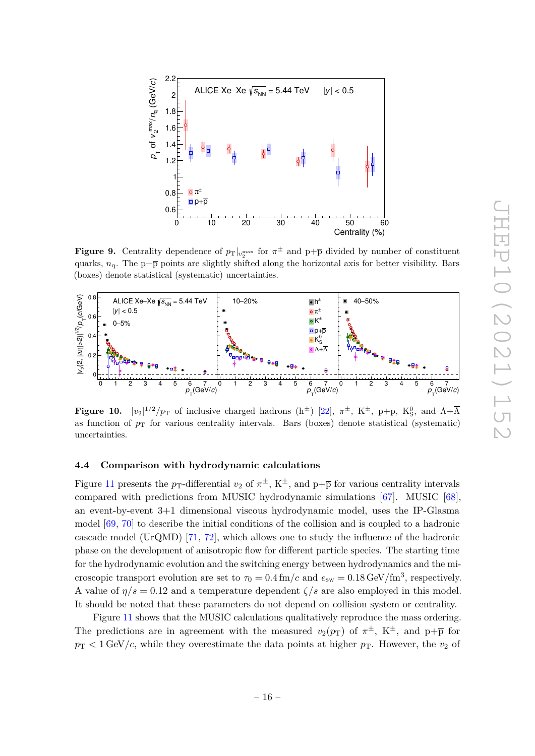

**Figure 9.** Centrality dependence of  $p_T|_{v_2^{\max}}$  for  $\pi^{\pm}$  and  $p+\overline{p}$  divided by number of constituent quarks,  $n_a$ . The p+ $\overline{p}$  points are slightly shifted along the horizontal axis for better visibility. Bars (boxes) denote statistical (systematic) uncertainties.



**Figure 10.**  $|v_2|^{1/2}/p_T$  of inclusive charged hadrons  $(h^{\pm})$  [22],  $\pi^{\pm}$ , K<sup>±</sup>, p+ $\overline{p}$ , K<sup>0</sup><sub>S</sub>, and  $\Lambda + \overline{\Lambda}$ as function of  $p<sub>T</sub>$  for various centrality intervals. Bars (boxes) denote statistical (systematic) uncertainties.

### **4.4 Comparison with hydrodynamic calculations**

Figure 11 presents the  $p_T$ -differential  $v_2$  of  $\pi^{\pm}$ ,  $K^{\pm}$ , and  $p+\overline{p}$  for various centrality intervals compared with predictions from MUSIC hydrodynamic simulations [67]. MUSIC [68], an event-by-event 3+1 dimensional viscous hydrodynamic model, uses the IP-Glasma model [69, 70] to describe the initial conditions of the collision and is coupled to a hadronic cascade model (UrQMD) [71, 72], which allows one to study the influence of the hadronic phase on the development of anisotropic flow for different particle species. The starting time for the hydrodynamic evolution and the switching energy between hydrodynamics and the microscopic transport evolution are set to  $\tau_0 = 0.4 \,\text{fm}/c$  and  $e_{\text{sw}} = 0.18 \,\text{GeV}/\text{fm}^3$ , respectively. A value of  $\eta/s = 0.12$  and a temperature dependent  $\zeta/s$  are also employed in this model. It should be noted that these parameters do not depend on collision system or centrality.

Figure 11 shows that the MUSIC calculations qualitatively reproduce the mass ordering. The predictions are in agreement with the measured  $v_2(p_T)$  of  $\pi^{\pm}$ ,  $K^{\pm}$ , and  $p+\overline{p}$  for  $p_T < 1$  GeV/*c*, while they overestimate the data points at higher  $p_T$ . However, the *v*<sub>2</sub> of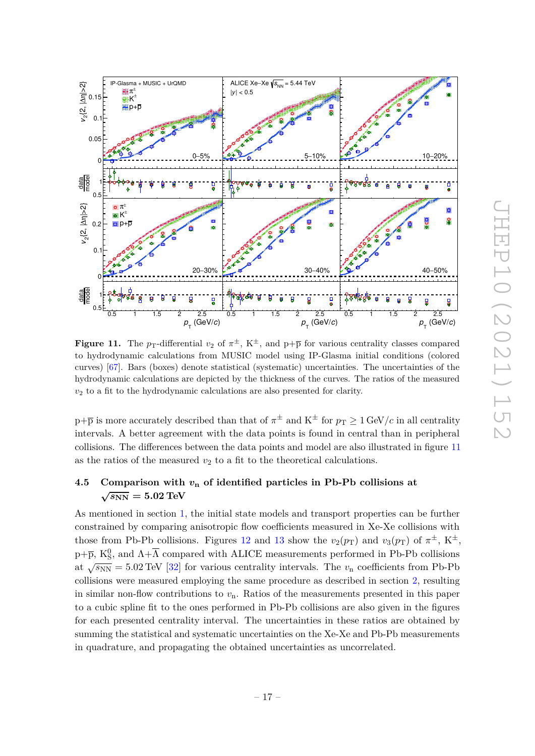

**Figure 11.** The  $p_T$ -differential  $v_2$  of  $\pi^{\pm}$ ,  $K^{\pm}$ , and  $p+\overline{p}$  for various centrality classes compared to hydrodynamic calculations from MUSIC model using IP-Glasma initial conditions (colored curves) [67]. Bars (boxes) denote statistical (systematic) uncertainties. The uncertainties of the hydrodynamic calculations are depicted by the thickness of the curves. The ratios of the measured *v*<sup>2</sup> to a fit to the hydrodynamic calculations are also presented for clarity.

 $p+\overline{p}$  is more accurately described than that of  $\pi^{\pm}$  and  $K^{\pm}$  for  $p_T \geq 1$  GeV/*c* in all centrality intervals. A better agreement with the data points is found in central than in peripheral collisions. The differences between the data points and model are also illustrated in figure 11 as the ratios of the measured  $v_2$  to a fit to the theoretical calculations.

# **4.5 Comparison with** *v***<sup>n</sup> of identified particles in Pb-Pb collisions at**  $\sqrt{s_{NN}} = 5.02 \text{ TeV}$

As mentioned in section 1, the initial state models and transport properties can be further constrained by comparing anisotropic flow coefficients measured in Xe-Xe collisions with those from Pb-Pb collisions. Figures 12 and 13 show the  $v_2(p_T)$  and  $v_3(p_T)$  of  $\pi^{\pm}$ , K<sup> $\pm$ </sup>,  $p+\overline{p}$ ,  $K_S^0$ , and  $\Lambda+\overline{\Lambda}$  compared with ALICE measurements performed in Pb-Pb collisions at  $\sqrt{s_{\text{NN}}}$  = 5.02 TeV [32] for various centrality intervals. The  $v_n$  coefficients from Pb-Pb collisions were measured employing the same procedure as described in section 2, resulting in similar non-flow contributions to *v*n. Ratios of the measurements presented in this paper to a cubic spline fit to the ones performed in Pb-Pb collisions are also given in the figures for each presented centrality interval. The uncertainties in these ratios are obtained by summing the statistical and systematic uncertainties on the Xe-Xe and Pb-Pb measurements in quadrature, and propagating the obtained uncertainties as uncorrelated.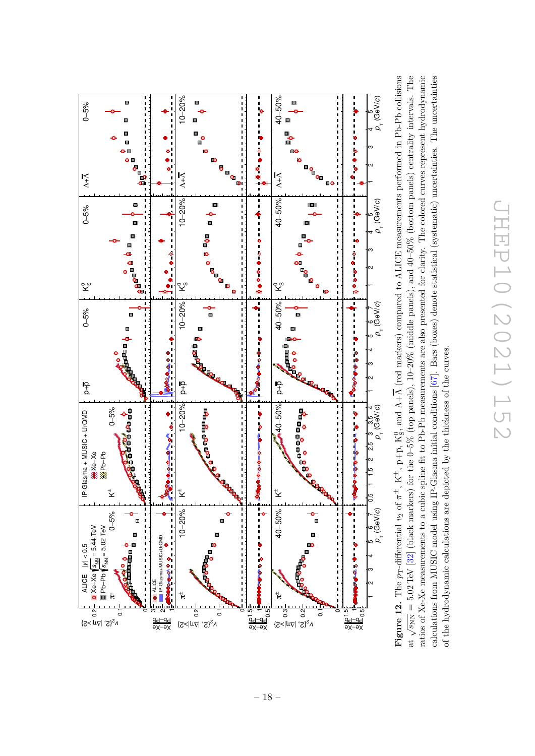

**Figure 12.** The p<sub>1</sub>-differential  $v_2$  of  $\pi^{\pm}$ , K<sup>+</sup>, p+p, K<sup>0</sup><sub>3</sub>, and  $\Lambda + \overline{\Lambda}$  (red markers) compared to ALICE measurements performed in Pb-Pb collisions at  $\sqrt{s_{NN}}$  = 5.02 TeV [32] (black markers) for the 0-5% (top panels), 10-20% (middle panels), and 40-50% (bottom panels) centrality intervals. The ratios of Xe-Xe measurements to a cubic spline fit to Pb-Pb measurements are also presented for clarity. The colored curves represent hydrodynamic calculations from MUSIC model using IP-Glasma initial conditions [67]. Bars (boxes) denote statistical (systematic) uncertainties. The uncertainties **Figure 12.** The *p*<sub>T</sub>-differential *v*<sub>2</sub> of  $\pi^{\pm}$ , K<sup>+</sup>, p+p, K<sub>2</sub><sup>3</sup>, and Λ+Λ (red markers) compared to ALICE measurements performed in Pb-Pb collisions at √*s*NN = 5.02 TeV [32] (black markers) for the 0–5% (top panels), 10–20% (middle panels), and 40–50% (bottom panels) centrality intervals. The ratios of Xe-Xe measurements to a cubic spline fit to Pb-Pb measurements are also presented for clarity. The colored curves represent hydrodynamic calculations from MUSIC model using IP-Glasma initial conditions [67]. Bars (boxes) denote statistical (systematic) uncertainties. The uncertainties of the hydrodynamic calculations are depicted by the thickness of the curves. of the hydrodynamic calculations are depicted by the thickness of the curves.

# JHEP10(2021)152 IEP10 (2021) 152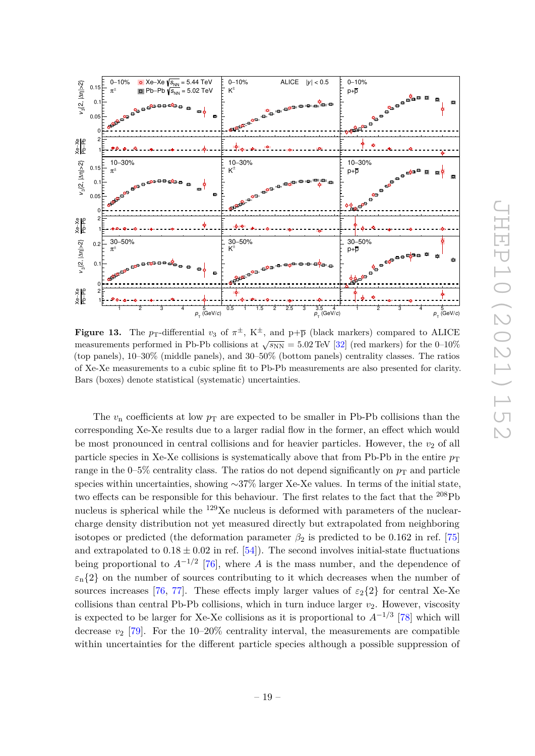

**Figure 13.** The  $p_T$ -differential  $v_3$  of  $\pi^{\pm}$ , K<sup> $\pm$ </sup>, and  $p+\overline{p}$  (black markers) compared to ALICE measurements performed in Pb-Pb collisions at  $\sqrt{s_{NN}} = 5.02 \text{ TeV}$  [32] (red markers) for the 0–10% (top panels), 10–30% (middle panels), and 30–50% (bottom panels) centrality classes. The ratios of Xe-Xe measurements to a cubic spline fit to Pb-Pb measurements are also presented for clarity. Bars (boxes) denote statistical (systematic) uncertainties.

The  $v_n$  coefficients at low  $p_T$  are expected to be smaller in Pb-Pb collisions than the corresponding Xe-Xe results due to a larger radial flow in the former, an effect which would be most pronounced in central collisions and for heavier particles. However, the  $v_2$  of all particle species in Xe-Xe collisions is systematically above that from Pb-Pb in the entire  $p_T$ range in the 0–5% centrality class. The ratios do not depend significantly on  $p_T$  and particle species within uncertainties, showing ∼37% larger Xe-Xe values. In terms of the initial state, two effects can be responsible for this behaviour. The first relates to the fact that the <sup>208</sup>Pb nucleus is spherical while the  $129Xe$  nucleus is deformed with parameters of the nuclearcharge density distribution not yet measured directly but extrapolated from neighboring isotopes or predicted (the deformation parameter  $\beta_2$  is predicted to be 0.162 in ref. [75] and extrapolated to  $0.18 \pm 0.02$  in ref. [54]). The second involves initial-state fluctuations being proportional to  $A^{-1/2}$  [76], where *A* is the mass number, and the dependence of  $\varepsilon_n$  {2} on the number of sources contributing to it which decreases when the number of sources increases [76, 77]. These effects imply larger values of  $\varepsilon_2\{2\}$  for central Xe-Xe collisions than central Pb-Pb collisions, which in turn induce larger  $v_2$ . However, viscosity is expected to be larger for Xe-Xe collisions as it is proportional to *A*−1*/*<sup>3</sup> [78] which will decrease  $v_2$  [79]. For the 10–20% centrality interval, the measurements are compatible within uncertainties for the different particle species although a possible suppression of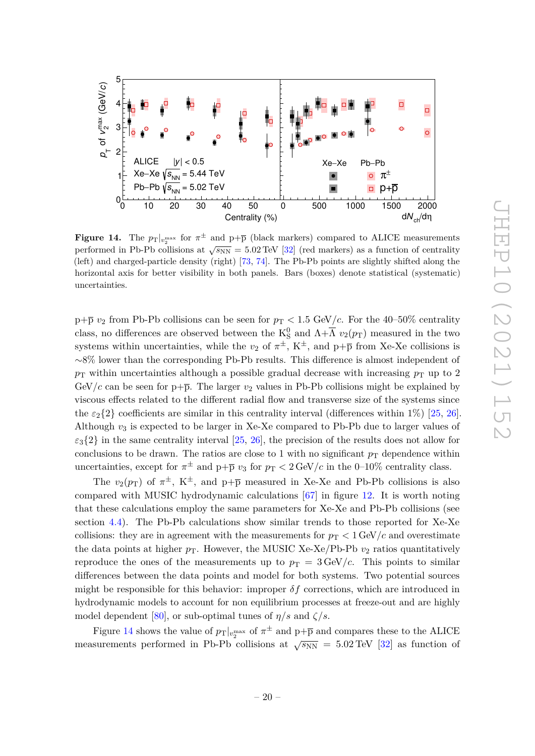

**Figure 14.** The  $p_T|_{v_2^{\max}}$  for  $\pi^{\pm}$  and  $p+\overline{p}$  (black markers) compared to ALICE measurements performed in Pb-Pb collisions at  $\sqrt{s_{NN}} = 5.02 \text{ TeV}$  [32] (red markers) as a function of centrality (left) and charged-particle density (right) [73, 74]. The Pb-Pb points are slightly shifted along the horizontal axis for better visibility in both panels. Bars (boxes) denote statistical (systematic) uncertainties.

 $p+\overline{p}$  *v*<sub>2</sub> from Pb-Pb collisions can be seen for  $p_T < 1.5$  GeV/*c*. For the 40–50% centrality class, no differences are observed between the  $K^0_S$  and  $\Lambda + \overline{\Lambda}$   $v_2(p_T)$  measured in the two systems within uncertainties, while the  $v_2$  of  $\pi^{\pm}$ ,  $K^{\pm}$ , and  $p+\overline{p}$  from Xe-Xe collisions is ∼8% lower than the corresponding Pb-Pb results. This difference is almost independent of  $p<sub>T</sub>$  within uncertainties although a possible gradual decrease with increasing  $p<sub>T</sub>$  up to 2 GeV/c can be seen for  $p+\overline{p}$ . The larger  $v_2$  values in Pb-Pb collisions might be explained by viscous effects related to the different radial flow and transverse size of the systems since the  $\varepsilon_2$ {2} coefficients are similar in this centrality interval (differences within 1%) [25, 26]. Although *v*<sup>3</sup> is expected to be larger in Xe-Xe compared to Pb-Pb due to larger values of  $\varepsilon_3$ {2} in the same centrality interval [25, 26], the precision of the results does not allow for conclusions to be drawn. The ratios are close to 1 with no significant  $p<sub>T</sub>$  dependence within uncertainties, except for  $\pi^{\pm}$  and  $p+\overline{p}$   $v_3$  for  $p_T < 2 \text{ GeV}/c$  in the 0–10% centrality class.

The  $v_2(p_T)$  of  $\pi^{\pm}$ , K<sup> $\pm$ </sup>, and p+p measured in Xe-Xe and Pb-Pb collisions is also compared with MUSIC hydrodynamic calculations [67] in figure 12. It is worth noting that these calculations employ the same parameters for Xe-Xe and Pb-Pb collisions (see section 4.4). The Pb-Pb calculations show similar trends to those reported for Xe-Xe collisions: they are in agreement with the measurements for  $p_T < 1$  GeV/*c* and overestimate the data points at higher  $p_T$ . However, the MUSIC Xe-Xe/Pb-Pb  $v_2$  ratios quantitatively reproduce the ones of the measurements up to  $p_T = 3 \text{ GeV}/c$ . This points to similar differences between the data points and model for both systems. Two potential sources might be responsible for this behavior: improper *δf* corrections, which are introduced in hydrodynamic models to account for non equilibrium processes at freeze-out and are highly model dependent [80], or sub-optimal tunes of  $\eta/s$  and  $\zeta/s$ .

Figure 14 shows the value of  $p_T|_{v_2^{\max}}$  of  $\pi^{\pm}$  and  $p+\overline{p}$  and compares these to the ALICE measurements performed in Pb-Pb collisions at  $\sqrt{s_{NN}} = 5.02 \text{ TeV}$  [32] as function of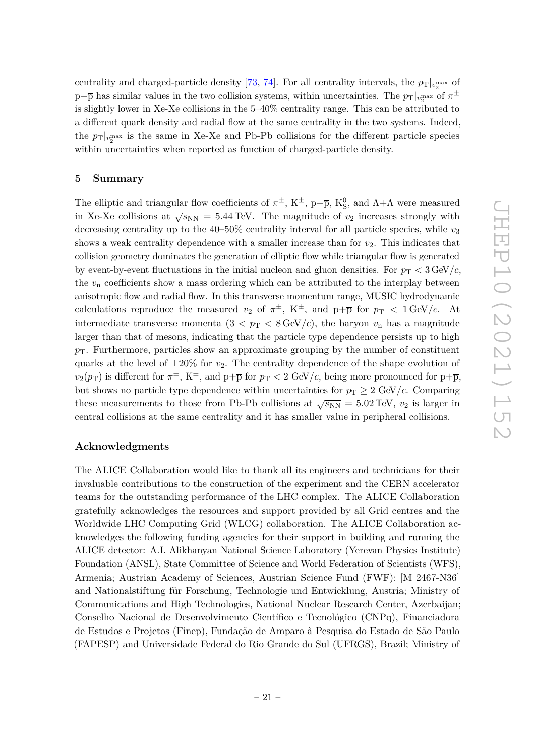centrality and charged-particle density [73, 74]. For all centrality intervals, the  $p_T|_{v_2^{\max}}$  of  $p+\overline{p}$  has similar values in the two collision systems, within uncertainties. The  $p_T|_{v_2^{\max}}$  of  $\pi^{\pm}$ is slightly lower in Xe-Xe collisions in the 5–40% centrality range. This can be attributed to a different quark density and radial flow at the same centrality in the two systems. Indeed, the  $p_T|_{v_2^{\max}}$  is the same in Xe-Xe and Pb-Pb collisions for the different particle species within uncertainties when reported as function of charged-particle density.

#### **5 Summary**

The elliptic and triangular flow coefficients of  $\pi^{\pm}$ , K<sup> $\pm$ </sup>, p+ $\overline{p}$ , K<sup>0</sup><sub>S</sub>, and  $\Lambda + \overline{\Lambda}$  were measured in Xe-Xe collisions at  $\sqrt{s_{NN}} = 5.44 \text{ TeV}$ . The magnitude of *v*<sub>2</sub> increases strongly with decreasing centrality up to the 40–50% centrality interval for all particle species, while *v*<sup>3</sup> shows a weak centrality dependence with a smaller increase than for  $v_2$ . This indicates that collision geometry dominates the generation of elliptic flow while triangular flow is generated by event-by-event fluctuations in the initial nucleon and gluon densities. For  $p<sub>T</sub> < 3$  GeV/*c*, the  $v_n$  coefficients show a mass ordering which can be attributed to the interplay between anisotropic flow and radial flow. In this transverse momentum range, MUSIC hydrodynamic calculations reproduce the measured  $v_2$  of  $\pi^{\pm}$ , K<sup> $\pm$ </sup>, and p+ $\bar{p}$  for  $p_T < 1 \text{ GeV}/c$ . At intermediate transverse momenta  $(3 < p_T < 8 \text{ GeV}/c)$ , the baryon  $v_n$  has a magnitude larger than that of mesons, indicating that the particle type dependence persists up to high  $p<sub>T</sub>$ . Furthermore, particles show an approximate grouping by the number of constituent quarks at the level of  $\pm 20\%$  for  $v_2$ . The centrality dependence of the shape evolution of  $v_2(p_T)$  is different for  $\pi^{\pm}$ ,  $K^{\pm}$ , and  $p+\overline{p}$  for  $p_T < 2$  GeV/*c*, being more pronounced for  $p+\overline{p}$ , but shows no particle type dependence within uncertainties for  $p_T \geq 2$  GeV/*c*. Comparing these measurements to those from Pb-Pb collisions at  $\sqrt{s_{NN}} = 5.02 \text{ TeV}$ , *v*<sub>2</sub> is larger in central collisions at the same centrality and it has smaller value in peripheral collisions.

# **Acknowledgments**

The ALICE Collaboration would like to thank all its engineers and technicians for their invaluable contributions to the construction of the experiment and the CERN accelerator teams for the outstanding performance of the LHC complex. The ALICE Collaboration gratefully acknowledges the resources and support provided by all Grid centres and the Worldwide LHC Computing Grid (WLCG) collaboration. The ALICE Collaboration acknowledges the following funding agencies for their support in building and running the ALICE detector: A.I. Alikhanyan National Science Laboratory (Yerevan Physics Institute) Foundation (ANSL), State Committee of Science and World Federation of Scientists (WFS), Armenia; Austrian Academy of Sciences, Austrian Science Fund (FWF): [M 2467-N36] and Nationalstiftung für Forschung, Technologie und Entwicklung, Austria; Ministry of Communications and High Technologies, National Nuclear Research Center, Azerbaijan; Conselho Nacional de Desenvolvimento Científico e Tecnológico (CNPq), Financiadora de Estudos e Projetos (Finep), Fundação de Amparo à Pesquisa do Estado de São Paulo (FAPESP) and Universidade Federal do Rio Grande do Sul (UFRGS), Brazil; Ministry of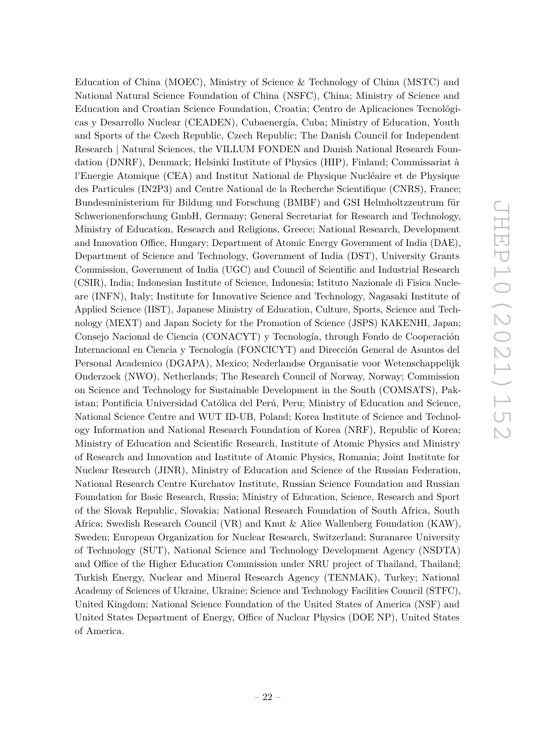Education of China (MOEC), Ministry of Science & Technology of China (MSTC) and National Natural Science Foundation of China (NSFC), China; Ministry of Science and Education and Croatian Science Foundation, Croatia; Centro de Aplicaciones Tecnológicas y Desarrollo Nuclear (CEADEN), Cubaenergía, Cuba; Ministry of Education, Youth and Sports of the Czech Republic, Czech Republic; The Danish Council for Independent Research | Natural Sciences, the VILLUM FONDEN and Danish National Research Foundation (DNRF), Denmark; Helsinki Institute of Physics (HIP), Finland; Commissariat à l'Energie Atomique (CEA) and Institut National de Physique Nucléaire et de Physique des Particules (IN2P3) and Centre National de la Recherche Scientifique (CNRS), France; Bundesministerium für Bildung und Forschung (BMBF) and GSI Helmholtzzentrum für Schwerionenforschung GmbH, Germany; General Secretariat for Research and Technology, Ministry of Education, Research and Religions, Greece; National Research, Development and Innovation Office, Hungary; Department of Atomic Energy Government of India (DAE), Department of Science and Technology, Government of India (DST), University Grants Commission, Government of India (UGC) and Council of Scientific and Industrial Research (CSIR), India; Indonesian Institute of Science, Indonesia; Istituto Nazionale di Fisica Nucleare (INFN), Italy; Institute for Innovative Science and Technology, Nagasaki Institute of Applied Science (IIST), Japanese Ministry of Education, Culture, Sports, Science and Technology (MEXT) and Japan Society for the Promotion of Science (JSPS) KAKENHI, Japan; Consejo Nacional de Ciencia (CONACYT) y Tecnología, through Fondo de Cooperación Internacional en Ciencia y Tecnología (FONCICYT) and Dirección General de Asuntos del Personal Academico (DGAPA), Mexico; Nederlandse Organisatie voor Wetenschappelijk Onderzoek (NWO), Netherlands; The Research Council of Norway, Norway; Commission on Science and Technology for Sustainable Development in the South (COMSATS), Pakistan; Pontificia Universidad Católica del Perú, Peru; Ministry of Education and Science, National Science Centre and WUT ID-UB, Poland; Korea Institute of Science and Technology Information and National Research Foundation of Korea (NRF), Republic of Korea; Ministry of Education and Scientific Research, Institute of Atomic Physics and Ministry of Research and Innovation and Institute of Atomic Physics, Romania; Joint Institute for Nuclear Research (JINR), Ministry of Education and Science of the Russian Federation, National Research Centre Kurchatov Institute, Russian Science Foundation and Russian Foundation for Basic Research, Russia; Ministry of Education, Science, Research and Sport of the Slovak Republic, Slovakia; National Research Foundation of South Africa, South Africa; Swedish Research Council (VR) and Knut & Alice Wallenberg Foundation (KAW), Sweden; European Organization for Nuclear Research, Switzerland; Suranaree University of Technology (SUT), National Science and Technology Development Agency (NSDTA) and Office of the Higher Education Commission under NRU project of Thailand, Thailand; Turkish Energy, Nuclear and Mineral Research Agency (TENMAK), Turkey; National Academy of Sciences of Ukraine, Ukraine; Science and Technology Facilities Council (STFC), United Kingdom; National Science Foundation of the United States of America (NSF) and United States Department of Energy, Office of Nuclear Physics (DOE NP), United States of America.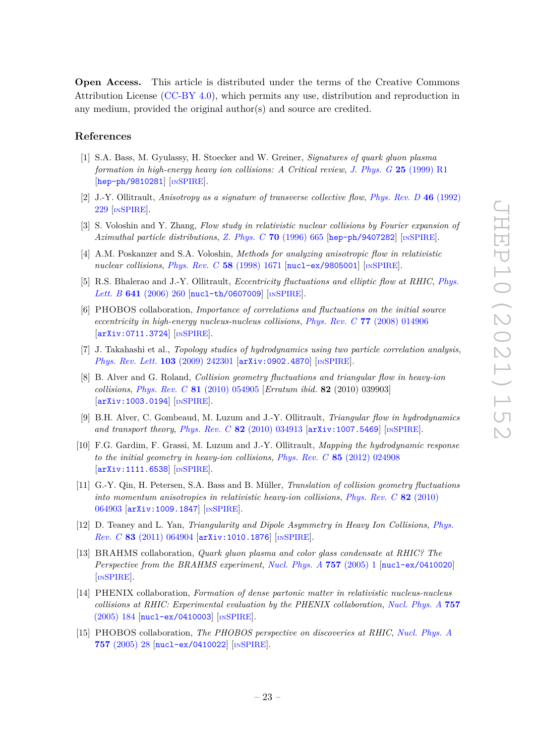**Open Access.** This article is distributed under the terms of the Creative Commons Attribution License [\(CC-BY 4.0\)](https://creativecommons.org/licenses/by/4.0/), which permits any use, distribution and reproduction in any medium, provided the original author(s) and source are credited.

#### **References**

- [1] S.A. Bass, M. Gyulassy, H. Stoecker and W. Greiner, *Signatures of quark gluon plasma formation in high-energy heavy ion collisions: A Critical review*, *[J. Phys. G](https://doi.org/10.1088/0954-3899/25/3/013)* **25** (1999) R1 [[hep-ph/9810281](https://arxiv.org/abs/hep-ph/9810281)] [IN[SPIRE](https://inspirehep.net/search?p=find+EPRINT%2Bhep-ph%2F9810281)].
- [2] J.-Y. Ollitrault, *Anisotropy as a signature of transverse collective flow*, *[Phys. Rev. D](https://doi.org/10.1103/PhysRevD.46.229)* **46** (1992) [229](https://doi.org/10.1103/PhysRevD.46.229) [IN[SPIRE](https://inspirehep.net/search?p=find+J%20%22Phys.Rev.%2CD46%2C229%22)].
- [3] S. Voloshin and Y. Zhang, *Flow study in relativistic nuclear collisions by Fourier expansion of Azimuthal particle distributions*, *[Z. Phys. C](https://doi.org/10.1007/s002880050141)* **70** (1996) 665 [[hep-ph/9407282](https://arxiv.org/abs/hep-ph/9407282)] [IN[SPIRE](https://inspirehep.net/search?p=find+EPRINT%2Bhep-ph%2F9407282)].
- [4] A.M. Poskanzer and S.A. Voloshin, *Methods for analyzing anisotropic flow in relativistic nuclear collisions, [Phys. Rev. C](https://doi.org/10.1103/PhysRevC.58.1671)* 58 (1998) 1671  $[nuc1-ex/9805001]$   $[NSPIRE]$  $[NSPIRE]$  $[NSPIRE]$ .
- [5] R.S. Bhalerao and J.-Y. Ollitrault, *Eccentricity fluctuations and elliptic flow at RHIC*, *[Phys.](https://doi.org/10.1016/j.physletb.2006.08.055) Lett. B* **641** [\(2006\) 260](https://doi.org/10.1016/j.physletb.2006.08.055) [[nucl-th/0607009](https://arxiv.org/abs/nucl-th/0607009)] [IN[SPIRE](https://inspirehep.net/search?p=find+EPRINT%2Bnucl-th%2F0607009)].
- [6] PHOBOS collaboration, *Importance of correlations and fluctuations on the initial source eccentricity in high-energy nucleus-nucleus collisions*, *Phys. Rev. C* **77** [\(2008\) 014906](https://doi.org/10.1103/PhysRevC.77.014906) [[arXiv:0711.3724](https://arxiv.org/abs/0711.3724)] [IN[SPIRE](https://inspirehep.net/search?p=find+EPRINT%2BarXiv%3A0711.3724)].
- [7] J. Takahashi et al., *Topology studies of hydrodynamics using two particle correlation analysis*, *[Phys. Rev. Lett.](https://doi.org/10.1103/PhysRevLett.103.242301)* **103** (2009) 242301 [[arXiv:0902.4870](https://arxiv.org/abs/0902.4870)] [IN[SPIRE](https://inspirehep.net/search?p=find+EPRINT%2BarXiv%3A0902.4870)].
- [8] B. Alver and G. Roland, *Collision geometry fluctuations and triangular flow in heavy-ion collisions*, *Phys. Rev. C* **81** [\(2010\) 054905](https://doi.org/10.1103/PhysRevC.82.039903) [*Erratum ibid.* **82** (2010) 039903] [[arXiv:1003.0194](https://arxiv.org/abs/1003.0194)] [IN[SPIRE](https://inspirehep.net/search?p=find+EPRINT%2BarXiv%3A1003.0194)].
- [9] B.H. Alver, C. Gombeaud, M. Luzum and J.-Y. Ollitrault, *Triangular flow in hydrodynamics and transport theory, Phys. Rev. C* 82 [\(2010\) 034913](https://doi.org/10.1103/PhysRevC.82.034913) [[arXiv:1007.5469](https://arxiv.org/abs/1007.5469)] [IN[SPIRE](https://inspirehep.net/search?p=find+EPRINT%2BarXiv%3A1007.5469)].
- [10] F.G. Gardim, F. Grassi, M. Luzum and J.-Y. Ollitrault, *Mapping the hydrodynamic response to the initial geometry in heavy-ion collisions*, *Phys. Rev. C* **85** [\(2012\) 024908](https://doi.org/10.1103/PhysRevC.85.024908) [[arXiv:1111.6538](https://arxiv.org/abs/1111.6538)] [IN[SPIRE](https://inspirehep.net/search?p=find+EPRINT%2BarXiv%3A1111.6538)].
- [11] G.-Y. Qin, H. Petersen, S.A. Bass and B. Müller, *Translation of collision geometry fluctuations into momentum anisotropies in relativistic heavy-ion collisions*, *[Phys. Rev. C](https://doi.org/10.1103/PhysRevC.82.064903)* **82** (2010) [064903](https://doi.org/10.1103/PhysRevC.82.064903) [[arXiv:1009.1847](https://arxiv.org/abs/1009.1847)] [IN[SPIRE](https://inspirehep.net/search?p=find+EPRINT%2BarXiv%3A1009.1847)].
- [12] D. Teaney and L. Yan, *Triangularity and Dipole Asymmetry in Heavy Ion Collisions*, *[Phys.](https://doi.org/10.1103/PhysRevC.83.064904) Rev. C* **83** [\(2011\) 064904](https://doi.org/10.1103/PhysRevC.83.064904) [[arXiv:1010.1876](https://arxiv.org/abs/1010.1876)] [IN[SPIRE](https://inspirehep.net/search?p=find+EPRINT%2BarXiv%3A1010.1876)].
- [13] BRAHMS collaboration, *Quark gluon plasma and color glass condensate at RHIC? The Perspective from the BRAHMS experiment*, *[Nucl. Phys. A](https://doi.org/10.1016/j.nuclphysa.2005.02.130)* **757** (2005) 1 [[nucl-ex/0410020](https://arxiv.org/abs/nucl-ex/0410020)] [IN[SPIRE](https://inspirehep.net/search?p=find+EPRINT%2Bnucl-ex%2F0410020)].
- [14] PHENIX collaboration, *Formation of dense partonic matter in relativistic nucleus-nucleus collisions at RHIC: Experimental evaluation by the PHENIX collaboration*, *[Nucl. Phys. A](https://doi.org/10.1016/j.nuclphysa.2005.03.086)* **757** [\(2005\) 184](https://doi.org/10.1016/j.nuclphysa.2005.03.086) [[nucl-ex/0410003](https://arxiv.org/abs/nucl-ex/0410003)] [IN[SPIRE](https://inspirehep.net/search?p=find+EPRINT%2Bnucl-ex%2F0410003)].
- [15] PHOBOS collaboration, *The PHOBOS perspective on discoveries at RHIC*, *[Nucl. Phys. A](https://doi.org/10.1016/j.nuclphysa.2005.03.084)* **757** [\(2005\) 28](https://doi.org/10.1016/j.nuclphysa.2005.03.084) [[nucl-ex/0410022](https://arxiv.org/abs/nucl-ex/0410022)] [IN[SPIRE](https://inspirehep.net/search?p=find+EPRINT%2Bnucl-ex%2F0410022)].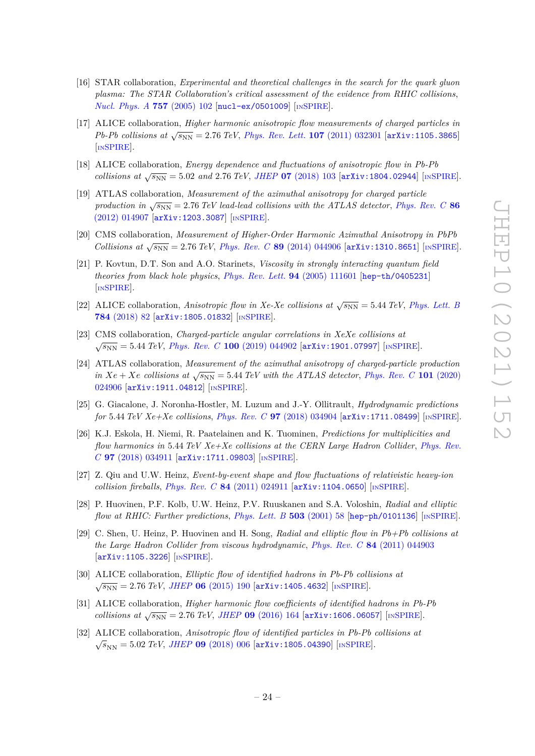- [16] STAR collaboration, *Experimental and theoretical challenges in the search for the quark gluon plasma: The STAR Collaboration's critical assessment of the evidence from RHIC collisions*, *[Nucl. Phys. A](https://doi.org/10.1016/j.nuclphysa.2005.03.085)* **757** (2005) 102 [[nucl-ex/0501009](https://arxiv.org/abs/nucl-ex/0501009)] [IN[SPIRE](https://inspirehep.net/search?p=find+EPRINT%2Bnucl-ex%2F0501009)].
- [17] ALICE collaboration, *Higher harmonic anisotropic flow measurements of charged particles in Pb-Pb collisions at*  $\sqrt{s_{NN}} = 2.76$  *TeV*, *[Phys. Rev. Lett.](https://doi.org/10.1103/PhysRevLett.107.032301)* **107** (2011) 032301 [[arXiv:1105.3865](https://arxiv.org/abs/1105.3865)] [IN[SPIRE](https://inspirehep.net/search?p=find+EPRINT%2BarXiv%3A1105.3865)].
- [18] ALICE collaboration, *Energy dependence and fluctuations of anisotropic flow in Pb-Pb collisions at*  $\sqrt{s_{\text{NN}}}$  = 5.02 *and* 2.76 *TeV*, *JHEP* **07** [\(2018\) 103](https://doi.org/10.1007/JHEP07(2018)103) [[arXiv:1804.02944](https://arxiv.org/abs/1804.02944)] [IN[SPIRE](https://inspirehep.net/search?p=find+EPRINT%2BarXiv%3A1804.02944)].
- [19] ATLAS collaboration, *Measurement of the azimuthal anisotropy for charged particle production in*  $\sqrt{s_{NN}} = 2.76$  *TeV lead-lead collisions with the ATLAS detector, <i>[Phys. Rev. C](https://doi.org/10.1103/PhysRevC.86.014907)* 86 [\(2012\) 014907](https://doi.org/10.1103/PhysRevC.86.014907) [[arXiv:1203.3087](https://arxiv.org/abs/1203.3087)] [IN[SPIRE](https://inspirehep.net/search?p=find+EPRINT%2BarXiv%3A1203.3087)].
- [20] CMS collaboration, *Measurement of Higher-Order Harmonic Azimuthal Anisotropy in PbPb Collisions at*  $\sqrt{s_{NN}} = 2.76$  *TeV, Phys. Rev. C* **89** [\(2014\) 044906](https://doi.org/10.1103/PhysRevC.89.044906) [[arXiv:1310.8651](https://arxiv.org/abs/1310.8651)] [IN[SPIRE](https://inspirehep.net/search?p=find+EPRINT%2BarXiv%3A1310.8651)].
- [21] P. Kovtun, D.T. Son and A.O. Starinets, *Viscosity in strongly interacting quantum field theories from black hole physics*, *[Phys. Rev. Lett.](https://doi.org/10.1103/PhysRevLett.94.111601)* **94** (2005) 111601 [[hep-th/0405231](https://arxiv.org/abs/hep-th/0405231)] [IN[SPIRE](https://inspirehep.net/search?p=find+EPRINT%2Bhep-th%2F0405231)].
- [22] ALICE collaboration, *Anisotropic flow in Xe-Xe collisions at*  $\sqrt{s_{NN}} = 5.44 \text{ TeV}$ , *[Phys. Lett. B](https://doi.org/10.1016/j.physletb.2018.06.059)* **784** [\(2018\) 82](https://doi.org/10.1016/j.physletb.2018.06.059) [[arXiv:1805.01832](https://arxiv.org/abs/1805.01832)] [IN[SPIRE](https://inspirehep.net/search?p=find+EPRINT%2BarXiv%3A1805.01832)].
- [23] CMS collaboration, *Charged-particle angular correlations in XeXe collisions at*  $\sqrt{s_{NN}} = 5.44 \text{ TeV}, \text{Phys. Rev. C } 100 \text{ (2019) 044902 [arXiv:1901.07997] [INSPIRE].}$  $\sqrt{s_{NN}} = 5.44 \text{ TeV}, \text{Phys. Rev. C } 100 \text{ (2019) 044902 [arXiv:1901.07997] [INSPIRE].}$  $\sqrt{s_{NN}} = 5.44 \text{ TeV}, \text{Phys. Rev. C } 100 \text{ (2019) 044902 [arXiv:1901.07997] [INSPIRE].}$  $\sqrt{s_{NN}} = 5.44 \text{ TeV}, \text{Phys. Rev. C } 100 \text{ (2019) 044902 [arXiv:1901.07997] [INSPIRE].}$  $\sqrt{s_{NN}} = 5.44 \text{ TeV}, \text{Phys. Rev. C } 100 \text{ (2019) 044902 [arXiv:1901.07997] [INSPIRE].}$  $\sqrt{s_{NN}} = 5.44 \text{ TeV}, \text{Phys. Rev. C } 100 \text{ (2019) 044902 [arXiv:1901.07997] [INSPIRE].}$  $\sqrt{s_{NN}} = 5.44 \text{ TeV}, \text{Phys. Rev. C } 100 \text{ (2019) 044902 [arXiv:1901.07997] [INSPIRE].}$
- [24] ATLAS collaboration, *Measurement of the azimuthal anisotropy of charged-particle production in*  $Xe + Xe$  collisions at  $\sqrt{s_{NN}} = 5.44$  *TeV with the ATLAS detector, [Phys. Rev. C](https://doi.org/10.1103/PhysRevC.101.024906)* **101** (2020) [024906](https://doi.org/10.1103/PhysRevC.101.024906) [[arXiv:1911.04812](https://arxiv.org/abs/1911.04812)] [IN[SPIRE](https://inspirehep.net/search?p=find+EPRINT%2BarXiv%3A1911.04812)].
- [25] G. Giacalone, J. Noronha-Hostler, M. Luzum and J.-Y. Ollitrault, *Hydrodynamic predictions for* 5*.*44 *TeV Xe+Xe collisions*, *Phys. Rev. C* **97** [\(2018\) 034904](https://doi.org/10.1103/PhysRevC.97.034904) [[arXiv:1711.08499](https://arxiv.org/abs/1711.08499)] [IN[SPIRE](https://inspirehep.net/search?p=find+EPRINT%2BarXiv%3A1711.08499)].
- [26] K.J. Eskola, H. Niemi, R. Paatelainen and K. Tuominen, *Predictions for multiplicities and flow harmonics in* 5*.*44 *TeV Xe+Xe collisions at the CERN Large Hadron Collider*, *[Phys. Rev.](https://doi.org/10.1103/PhysRevC.97.034911) C* **97** [\(2018\) 034911](https://doi.org/10.1103/PhysRevC.97.034911) [[arXiv:1711.09803](https://arxiv.org/abs/1711.09803)] [IN[SPIRE](https://inspirehep.net/search?p=find+EPRINT%2BarXiv%3A1711.09803)].
- [27] Z. Qiu and U.W. Heinz, *Event-by-event shape and flow fluctuations of relativistic heavy-ion collision fireballs*, *Phys. Rev. C* **84** [\(2011\) 024911](https://doi.org/10.1103/PhysRevC.84.024911) [[arXiv:1104.0650](https://arxiv.org/abs/1104.0650)] [IN[SPIRE](https://inspirehep.net/search?p=find+EPRINT%2BarXiv%3A1104.0650)].
- [28] P. Huovinen, P.F. Kolb, U.W. Heinz, P.V. Ruuskanen and S.A. Voloshin, *Radial and elliptic flow at RHIC: Further predictions*, *[Phys. Lett. B](https://doi.org/10.1016/S0370-2693(01)00219-2)* **503** (2001) 58 [[hep-ph/0101136](https://arxiv.org/abs/hep-ph/0101136)] [IN[SPIRE](https://inspirehep.net/search?p=find+EPRINT%2Bhep-ph%2F0101136)].
- [29] C. Shen, U. Heinz, P. Huovinen and H. Song, *Radial and elliptic flow in Pb+Pb collisions at the Large Hadron Collider from viscous hydrodynamic*, *Phys. Rev. C* **84** [\(2011\) 044903](https://doi.org/10.1103/PhysRevC.84.044903) [[arXiv:1105.3226](https://arxiv.org/abs/1105.3226)] [IN[SPIRE](https://inspirehep.net/search?p=find+EPRINT%2BarXiv%3A1105.3226)].
- [30] ALICE collaboration, *Elliptic flow of identified hadrons in Pb-Pb collisions at*  $\sqrt{s_{NN}} = 2.76 \text{ TeV}, \text{ JHEP}$  **06** [\(2015\) 190](https://doi.org/10.1007/JHEP06(2015)190) [[arXiv:1405.4632](https://arxiv.org/abs/1405.4632)] [IN[SPIRE](https://inspirehep.net/search?p=find+EPRINT%2BarXiv%3A1405.4632)].
- [31] ALICE collaboration, *Higher harmonic flow coefficients of identified hadrons in Pb-Pb collisions at*  $\sqrt{s_{\text{NN}}}$  = 2.76 *TeV*, *JHEP* **09** [\(2016\) 164](https://doi.org/10.1007/JHEP09(2016)164) [[arXiv:1606.06057](https://arxiv.org/abs/1606.06057)] [IN[SPIRE](https://inspirehep.net/search?p=find+EPRINT%2BarXiv%3A1606.06057)].
- [32] ALICE collaboration, *Anisotropic flow of identified particles in Pb-Pb collisions at* √  $\sqrt{s}_{NN} = 5.02 \text{ TeV}, \text{ JHEP}$  **09** [\(2018\) 006](https://doi.org/10.1007/JHEP09(2018)006) [[arXiv:1805.04390](https://arxiv.org/abs/1805.04390)] [IN[SPIRE](https://inspirehep.net/search?p=find+EPRINT%2BarXiv%3A1805.04390)].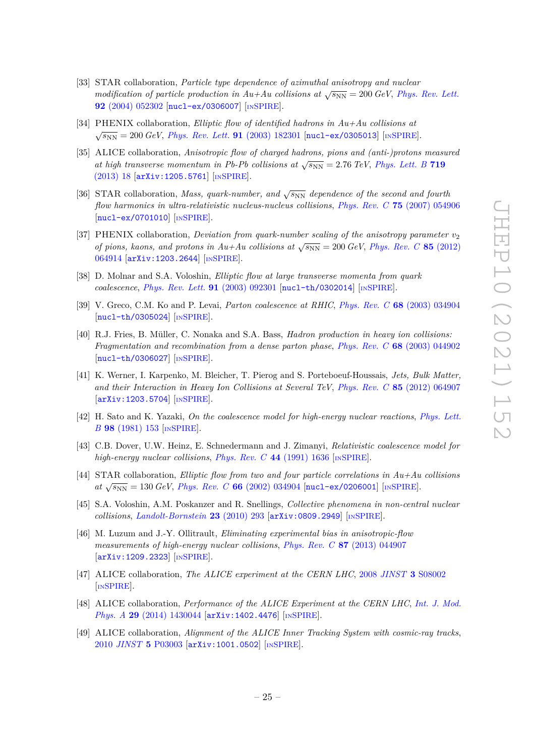- [33] STAR collaboration, *Particle type dependence of azimuthal anisotropy and nuclear modification of particle production in Au+Au collisions at*  $\sqrt{s_{NN}} = 200$  *GeV*, *[Phys. Rev. Lett.](https://doi.org/10.1103/PhysRevLett.92.052302)* **92** [\(2004\) 052302](https://doi.org/10.1103/PhysRevLett.92.052302) [[nucl-ex/0306007](https://arxiv.org/abs/nucl-ex/0306007)] [IN[SPIRE](https://inspirehep.net/search?p=find+EPRINT%2Bnucl-ex%2F0306007)].
- [34] PHENIX collaboration, *Elliptic flow of identified hadrons in Au+Au collisions at*  $\sqrt{s_{NN}} = 200 \text{ GeV},$  *[Phys. Rev. Lett.](https://doi.org/10.1103/PhysRevLett.91.182301)* **91** (2003) 182301 [[nucl-ex/0305013](https://arxiv.org/abs/nucl-ex/0305013)] [IN[SPIRE](https://inspirehep.net/search?p=find+EPRINT%2Bnucl-ex%2F0305013)].
- [35] ALICE collaboration, *Anisotropic flow of charged hadrons, pions and (anti-)protons measured at high transverse momentum in Pb-Pb collisions at*  $\sqrt{s_{NN}} = 2.76$  *TeV*, *[Phys. Lett. B](https://doi.org/10.1016/j.physletb.2012.12.066)* **719** [\(2013\) 18](https://doi.org/10.1016/j.physletb.2012.12.066) [[arXiv:1205.5761](https://arxiv.org/abs/1205.5761)] [IN[SPIRE](https://inspirehep.net/search?p=find+EPRINT%2BarXiv%3A1205.5761)].
- [36] STAR collaboration, *Mass, quark-number, and*  $\sqrt{s_{NN}}$  *dependence of the second and fourth flow harmonics in ultra-relativistic nucleus-nucleus collisions*, *Phys. Rev. C* **75** [\(2007\) 054906](https://doi.org/10.1103/PhysRevC.75.054906) [[nucl-ex/0701010](https://arxiv.org/abs/nucl-ex/0701010)] [IN[SPIRE](https://inspirehep.net/search?p=find+EPRINT%2Bnucl-ex%2F0701010)].
- [37] PHENIX collaboration, *Deviation from quark-number scaling of the anisotropy parameter*  $v_2$ *of pions, kaons, and protons in Au+Au collisions at*  $\sqrt{s_{NN}} = 200$  *GeV, [Phys. Rev. C](https://doi.org/10.1103/PhysRevC.85.064914)* 85 (2012) [064914](https://doi.org/10.1103/PhysRevC.85.064914) [[arXiv:1203.2644](https://arxiv.org/abs/1203.2644)] [IN[SPIRE](https://inspirehep.net/search?p=find+EPRINT%2BarXiv%3A1203.2644)].
- [38] D. Molnar and S.A. Voloshin, *Elliptic flow at large transverse momenta from quark coalescence*, *[Phys. Rev. Lett.](https://doi.org/10.1103/PhysRevLett.91.092301)* **91** (2003) 092301 [[nucl-th/0302014](https://arxiv.org/abs/nucl-th/0302014)] [IN[SPIRE](https://inspirehep.net/search?p=find+EPRINT%2Bnucl-th%2F0302014)].
- [39] V. Greco, C.M. Ko and P. Levai, *Parton coalescence at RHIC*, *Phys. Rev. C* **68** [\(2003\) 034904](https://doi.org/10.1103/PhysRevC.68.034904) [[nucl-th/0305024](https://arxiv.org/abs/nucl-th/0305024)] [IN[SPIRE](https://inspirehep.net/search?p=find+EPRINT%2Bnucl-th%2F0305024)].
- [40] R.J. Fries, B. Müller, C. Nonaka and S.A. Bass, *Hadron production in heavy ion collisions: Fragmentation and recombination from a dense parton phase*, *Phys. Rev. C* **68** [\(2003\) 044902](https://doi.org/10.1103/PhysRevC.68.044902) [[nucl-th/0306027](https://arxiv.org/abs/nucl-th/0306027)] [IN[SPIRE](https://inspirehep.net/search?p=find+EPRINT%2Bnucl-th%2F0306027)].
- [41] K. Werner, I. Karpenko, M. Bleicher, T. Pierog and S. Porteboeuf-Houssais, *Jets, Bulk Matter, and their Interaction in Heavy Ion Collisions at Several TeV*, *Phys. Rev. C* **85** [\(2012\) 064907](https://doi.org/10.1103/PhysRevC.85.064907) [[arXiv:1203.5704](https://arxiv.org/abs/1203.5704)] [IN[SPIRE](https://inspirehep.net/search?p=find+EPRINT%2BarXiv%3A1203.5704)].
- [42] H. Sato and K. Yazaki, *On the coalescence model for high-energy nuclear reactions*, *[Phys. Lett.](https://doi.org/10.1016/0370-2693(81)90976-X) B* **98** [\(1981\) 153](https://doi.org/10.1016/0370-2693(81)90976-X) [IN[SPIRE](https://inspirehep.net/search?p=find+J%20%22Phys.Lett.%2CB98%2C153%22)].
- [43] C.B. Dover, U.W. Heinz, E. Schnedermann and J. Zimanyi, *Relativistic coalescence model for high-energy nuclear collisions, [Phys. Rev. C](https://doi.org/10.1103/PhysRevC.44.1636)* 44 (1991) 1636 [IN[SPIRE](https://inspirehep.net/search?p=find+J%20%22Phys.Rev.%2CC44%2C1636%22)].
- [44] STAR collaboration, *Elliptic flow from two and four particle correlations in Au+Au collisions at*  $\sqrt{s_{NN}} = 130 \text{ GeV}$ , *Phys. Rev. C* **66** [\(2002\) 034904](https://doi.org/10.1103/PhysRevC.66.034904) [[nucl-ex/0206001](https://arxiv.org/abs/nucl-ex/0206001)] [IN[SPIRE](https://inspirehep.net/search?p=find+EPRINT%2Bnucl-ex%2F0206001)].
- [45] S.A. Voloshin, A.M. Poskanzer and R. Snellings, *Collective phenomena in non-central nuclear collisions*, *[Landolt-Bornstein](https://doi.org/10.1007/978-3-642-01539-7_10)* **23** (2010) 293 [[arXiv:0809.2949](https://arxiv.org/abs/0809.2949)] [IN[SPIRE](https://inspirehep.net/search?p=find+EPRINT%2BarXiv%3A0809.2949)].
- [46] M. Luzum and J.-Y. Ollitrault, *Eliminating experimental bias in anisotropic-flow measurements of high-energy nuclear collisions*, *Phys. Rev. C* **87** [\(2013\) 044907](https://doi.org/10.1103/PhysRevC.87.044907) [[arXiv:1209.2323](https://arxiv.org/abs/1209.2323)] [IN[SPIRE](https://inspirehep.net/search?p=find+EPRINT%2BarXiv%3A1209.2323)].
- [47] ALICE collaboration, *The ALICE experiment at the CERN LHC*, 2008 *JINST* **3** [S08002](https://doi.org/10.1088/1748-0221/3/08/S08002) [IN[SPIRE](https://inspirehep.net/search?p=find+J%20%22JINST%2C3%2CS08002%22)].
- [48] ALICE collaboration, *Performance of the ALICE Experiment at the CERN LHC*, *[Int. J. Mod.](https://doi.org/10.1142/S0217751X14300440) Phys. A* **29** [\(2014\) 1430044](https://doi.org/10.1142/S0217751X14300440) [[arXiv:1402.4476](https://arxiv.org/abs/1402.4476)] [IN[SPIRE](https://inspirehep.net/search?p=find+EPRINT%2BarXiv%3A1402.4476)].
- [49] ALICE collaboration, *Alignment of the ALICE Inner Tracking System with cosmic-ray tracks*, 2010 *JINST* **5** [P03003](https://doi.org/10.1088/1748-0221/5/03/P03003) [[arXiv:1001.0502](https://arxiv.org/abs/1001.0502)] [IN[SPIRE](https://inspirehep.net/search?p=find+EPRINT%2BarXiv%3A1001.0502)].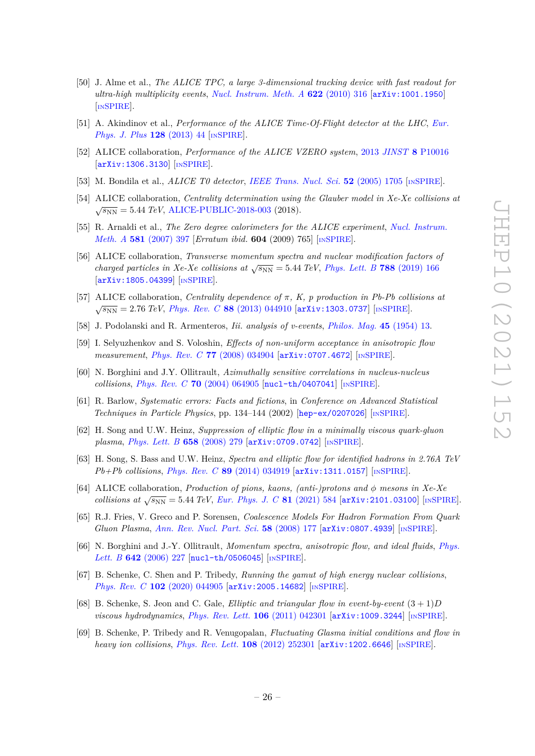- [50] J. Alme et al., *The ALICE TPC, a large 3-dimensional tracking device with fast readout for ultra-high multiplicity events*, *[Nucl. Instrum. Meth. A](https://doi.org/10.1016/j.nima.2010.04.042)* **622** (2010) 316 [[arXiv:1001.1950](https://arxiv.org/abs/1001.1950)] [IN[SPIRE](https://inspirehep.net/search?p=find+EPRINT%2BarXiv%3A1001.1950)].
- [51] A. Akindinov et al., *Performance of the ALICE Time-Of-Flight detector at the LHC*, *[Eur.](https://doi.org/10.1140/epjp/i2013-13044-x) [Phys. J. Plus](https://doi.org/10.1140/epjp/i2013-13044-x)* **128** (2013) 44 [IN[SPIRE](https://inspirehep.net/search?p=find+J%20%22Eur.Phys.J.Plus%2C128%2C44%22)].
- [52] ALICE collaboration, *Performance of the ALICE VZERO system*, 2013 *JINST* **8** [P10016](https://doi.org/10.1088/1748-0221/8/10/P10016) [[arXiv:1306.3130](https://arxiv.org/abs/1306.3130)] [IN[SPIRE](https://inspirehep.net/search?p=find+EPRINT%2BarXiv%3A1306.3130)].
- [53] M. Bondila et al., *ALICE T0 detector*, *[IEEE Trans. Nucl. Sci.](https://doi.org/10.1109/TNS.2005.856900)* **52** (2005) 1705 [IN[SPIRE](https://inspirehep.net/search?p=find+J%20%22IEEE%20Trans.Nucl.Sci.%2C52%2C1705%22)].
- [54] ALICE collaboration, *Centrality determination using the Glauber model in Xe-Xe collisions at*  $\sqrt{s_{NN}} = 5.44 \text{ TeV}$ , [ALICE-PUBLIC-2018-003](https://cds.cern.ch/record/2315401) (2018).
- [55] R. Arnaldi et al., *The Zero degree calorimeters for the ALICE experiment*, *[Nucl. Instrum.](https://doi.org/10.1016/j.nima.2008.04.009) Meth. A* **581** [\(2007\) 397](https://doi.org/10.1016/j.nima.2008.04.009) [*Erratum ibid.* **604** (2009) 765] [IN[SPIRE](https://inspirehep.net/search?p=find+J%20%22Nucl.Instrum.Meth.%2CA581%2C397%22)].
- [56] ALICE collaboration, *Transverse momentum spectra and nuclear modification factors of charged particles in Xe-Xe collisions at*  $\sqrt{s_{NN}} = 5.44$  *TeV, [Phys. Lett. B](https://doi.org/10.1016/j.physletb.2018.10.052)* **788** (2019) 166 [[arXiv:1805.04399](https://arxiv.org/abs/1805.04399)] [IN[SPIRE](https://inspirehep.net/search?p=find+EPRINT%2BarXiv%3A1805.04399)].
- [57] ALICE collaboration, *Centrality dependence of π, K, p production in Pb-Pb collisions at*  $\sqrt{s_{NN}} = 2.76 \text{ TeV}, \text{Phys. Rev. C } 88 \text{ (2013) 044910 [arXiv:1303.0737] [nSPIRE].}$  $\sqrt{s_{NN}} = 2.76 \text{ TeV}, \text{Phys. Rev. C } 88 \text{ (2013) 044910 [arXiv:1303.0737] [nSPIRE].}$  $\sqrt{s_{NN}} = 2.76 \text{ TeV}, \text{Phys. Rev. C } 88 \text{ (2013) 044910 [arXiv:1303.0737] [nSPIRE].}$  $\sqrt{s_{NN}} = 2.76 \text{ TeV}, \text{Phys. Rev. C } 88 \text{ (2013) 044910 [arXiv:1303.0737] [nSPIRE].}$  $\sqrt{s_{NN}} = 2.76 \text{ TeV}, \text{Phys. Rev. C } 88 \text{ (2013) 044910 [arXiv:1303.0737] [nSPIRE].}$  $\sqrt{s_{NN}} = 2.76 \text{ TeV}, \text{Phys. Rev. C } 88 \text{ (2013) 044910 [arXiv:1303.0737] [nSPIRE].}$  $\sqrt{s_{NN}} = 2.76 \text{ TeV}, \text{Phys. Rev. C } 88 \text{ (2013) 044910 [arXiv:1303.0737] [nSPIRE].}$
- [58] J. Podolanski and R. Armenteros, *Iii. analysis of v-events*, *[Philos. Mag.](https://doi.org/10.1080/14786440108520416)* **45** (1954) 13.
- [59] I. Selyuzhenkov and S. Voloshin, *Effects of non-uniform acceptance in anisotropic flow measurement*, *Phys. Rev. C* **77** [\(2008\) 034904](https://doi.org/10.1103/PhysRevC.77.034904) [[arXiv:0707.4672](https://arxiv.org/abs/0707.4672)] [IN[SPIRE](https://inspirehep.net/search?p=find+EPRINT%2BarXiv%3A0707.4672)].
- [60] N. Borghini and J.Y. Ollitrault, *Azimuthally sensitive correlations in nucleus-nucleus collisions*, *Phys. Rev. C* **70** [\(2004\) 064905](https://doi.org/10.1103/PhysRevC.70.064905) [[nucl-th/0407041](https://arxiv.org/abs/nucl-th/0407041)] [IN[SPIRE](https://inspirehep.net/search?p=find+EPRINT%2Bnucl-th%2F0407041)].
- [61] R. Barlow, *Systematic errors: Facts and fictions*, in *Conference on Advanced Statistical Techniques in Particle Physics*, pp. 134-144 (2002) [[hep-ex/0207026](https://arxiv.org/abs/hep-ex/0207026)] [IN[SPIRE](https://inspirehep.net/search?p=find+EPRINT%2Bhep-ex%2F0207026)].
- [62] H. Song and U.W. Heinz, *Suppression of elliptic flow in a minimally viscous quark-gluon plasma*, *[Phys. Lett. B](https://doi.org/10.1016/j.physletb.2007.11.019)* **658** (2008) 279 [[arXiv:0709.0742](https://arxiv.org/abs/0709.0742)] [IN[SPIRE](https://inspirehep.net/search?p=find+EPRINT%2BarXiv%3A0709.0742)].
- [63] H. Song, S. Bass and U.W. Heinz, *Spectra and elliptic flow for identified hadrons in 2.76A TeV Pb+Pb collisions*, *Phys. Rev. C* **89** [\(2014\) 034919](https://doi.org/10.1103/PhysRevC.89.034919) [[arXiv:1311.0157](https://arxiv.org/abs/1311.0157)] [IN[SPIRE](https://inspirehep.net/search?p=find+EPRINT%2BarXiv%3A1311.0157)].
- [64] ALICE collaboration, *Production of pions, kaons, (anti-)protons and φ mesons in Xe-Xe collisions at*  $\sqrt{s_{NN}} = 5.44 \text{ TeV}$ , *[Eur. Phys. J. C](https://doi.org/10.1140/epjc/s10052-021-09304-4)* **81** (2021) 584 [[arXiv:2101.03100](https://arxiv.org/abs/2101.03100)] [IN[SPIRE](https://inspirehep.net/search?p=find+EPRINT%2BarXiv%3A2101.03100)].
- [65] R.J. Fries, V. Greco and P. Sorensen, *Coalescence Models For Hadron Formation From Quark Gluon Plasma*, *[Ann. Rev. Nucl. Part. Sci.](https://doi.org/10.1146/annurev.nucl.58.110707.171134)* **58** (2008) 177 [[arXiv:0807.4939](https://arxiv.org/abs/0807.4939)] [IN[SPIRE](https://inspirehep.net/search?p=find+EPRINT%2BarXiv%3A0807.4939)].
- [66] N. Borghini and J.-Y. Ollitrault, *Momentum spectra, anisotropic flow, and ideal fluids*, *[Phys.](https://doi.org/10.1016/j.physletb.2006.09.062) Lett. B* **642** [\(2006\) 227](https://doi.org/10.1016/j.physletb.2006.09.062) [[nucl-th/0506045](https://arxiv.org/abs/nucl-th/0506045)] [IN[SPIRE](https://inspirehep.net/search?p=find+EPRINT%2Bnucl-th%2F0506045)].
- [67] B. Schenke, C. Shen and P. Tribedy, *Running the gamut of high energy nuclear collisions*, *Phys. Rev. C* 102 [\(2020\) 044905](https://doi.org/10.1103/PhysRevC.102.044905) [[arXiv:2005.14682](https://arxiv.org/abs/2005.14682)] [IN[SPIRE](https://inspirehep.net/search?p=find+EPRINT%2BarXiv%3A2005.14682)].
- [68] B. Schenke, S. Jeon and C. Gale, *Elliptic and triangular flow in event-by-event* (3 + 1)*D viscous hydrodynamics*, *[Phys. Rev. Lett.](https://doi.org/10.1103/PhysRevLett.106.042301)* **106** (2011) 042301 [[arXiv:1009.3244](https://arxiv.org/abs/1009.3244)] [IN[SPIRE](https://inspirehep.net/search?p=find+EPRINT%2BarXiv%3A1009.3244)].
- [69] B. Schenke, P. Tribedy and R. Venugopalan, *Fluctuating Glasma initial conditions and flow in heavy ion collisions, [Phys. Rev. Lett.](https://doi.org/10.1103/PhysRevLett.108.252301)* **108** (2012) 252301  $\arXiv:1202.6646$  $\arXiv:1202.6646$  [IN[SPIRE](https://inspirehep.net/search?p=find+J%20%22Phys.Rev.Lett.%2C108%2C252301%22)].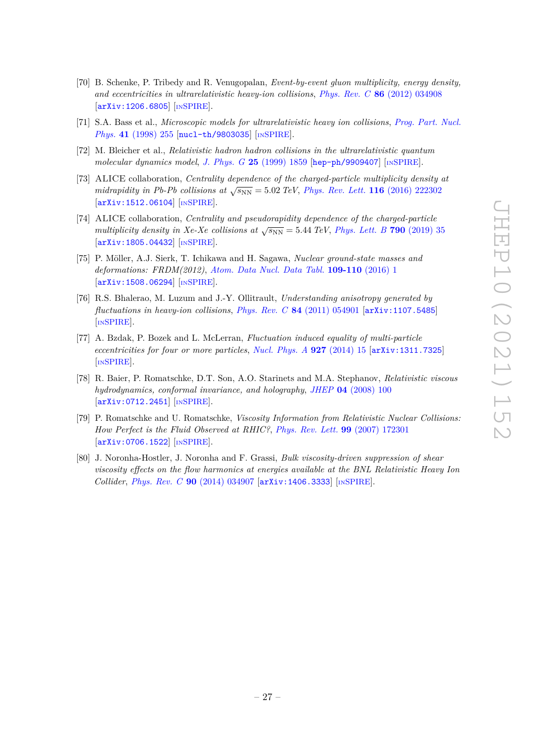- [70] B. Schenke, P. Tribedy and R. Venugopalan, *Event-by-event gluon multiplicity, energy density, and eccentricities in ultrarelativistic heavy-ion collisions*, *Phys. Rev. C* **86** [\(2012\) 034908](https://doi.org/10.1103/PhysRevC.86.034908) [[arXiv:1206.6805](https://arxiv.org/abs/1206.6805)] [IN[SPIRE](https://inspirehep.net/search?p=find+J%20%22Phys.Rev.%2CC86%2C034908%22)].
- [71] S.A. Bass et al., *Microscopic models for ultrarelativistic heavy ion collisions*, *[Prog. Part. Nucl.](https://doi.org/10.1016/S0146-6410(98)00058-1) Phys.* **41** [\(1998\) 255](https://doi.org/10.1016/S0146-6410(98)00058-1) [[nucl-th/9803035](https://arxiv.org/abs/nucl-th/9803035)] [IN[SPIRE](https://inspirehep.net/search?p=find+EPRINT%2Bnucl-th%2F9803035)].
- [72] M. Bleicher et al., *Relativistic hadron hadron collisions in the ultrarelativistic quantum molecular dynamics model*, *J. Phys. G* **25** [\(1999\) 1859](https://doi.org/10.1088/0954-3899/25/9/308) [[hep-ph/9909407](https://arxiv.org/abs/hep-ph/9909407)] [IN[SPIRE](https://inspirehep.net/search?p=find+EPRINT%2Bhep-ph%2F9909407)].
- [73] ALICE collaboration, *Centrality dependence of the charged-particle multiplicity density at midrapidity in Pb-Pb collisions at*  $\sqrt{s_{NN}} = 5.02$  *TeV, [Phys. Rev. Lett.](https://doi.org/10.1103/PhysRevLett.116.222302)* **116** (2016) 222302 [[arXiv:1512.06104](https://arxiv.org/abs/1512.06104)] [IN[SPIRE](https://inspirehep.net/search?p=find+EPRINT%2BarXiv%3A1512.06104)].
- [74] ALICE collaboration, *Centrality and pseudorapidity dependence of the charged-particle multiplicity density in Xe-Xe collisions at*  $\sqrt{s_{NN}} = 5.44$  *TeV*, *[Phys. Lett. B](https://doi.org/10.1016/j.physletb.2018.12.048)* **790** (2019) 35 [[arXiv:1805.04432](https://arxiv.org/abs/1805.04432)] [IN[SPIRE](https://inspirehep.net/search?p=find+EPRINT%2BarXiv%3A1805.04432)].
- [75] P. Möller, A.J. Sierk, T. Ichikawa and H. Sagawa, *Nuclear ground-state masses and deformations: FRDM(2012)*, *[Atom. Data Nucl. Data Tabl.](https://doi.org/10.1016/j.adt.2015.10.002)* **109-110** (2016) 1 [[arXiv:1508.06294](https://arxiv.org/abs/1508.06294)] [IN[SPIRE](https://inspirehep.net/search?p=find+EPRINT%2BarXiv%3A1508.06294)].
- [76] R.S. Bhalerao, M. Luzum and J.-Y. Ollitrault, *Understanding anisotropy generated by fluctuations in heavy-ion collisions*, *Phys. Rev. C* **84** [\(2011\) 054901](https://doi.org/10.1103/PhysRevC.84.054901) [[arXiv:1107.5485](https://arxiv.org/abs/1107.5485)] [IN[SPIRE](https://inspirehep.net/search?p=find+EPRINT%2BarXiv%3A1107.5485)].
- [77] A. Bzdak, P. Bozek and L. McLerran, *Fluctuation induced equality of multi-particle eccentricities for four or more particles*, *[Nucl. Phys. A](https://doi.org/10.1016/j.nuclphysa.2014.03.007)* **927** (2014) 15 [[arXiv:1311.7325](https://arxiv.org/abs/1311.7325)] [IN[SPIRE](https://inspirehep.net/search?p=find+EPRINT%2BarXiv%3A1311.7325)].
- [78] R. Baier, P. Romatschke, D.T. Son, A.O. Starinets and M.A. Stephanov, *Relativistic viscous hydrodynamics, conformal invariance, and holography*, *JHEP* **04** [\(2008\) 100](https://doi.org/10.1088/1126-6708/2008/04/100) [[arXiv:0712.2451](https://arxiv.org/abs/0712.2451)] [IN[SPIRE](https://inspirehep.net/search?p=find+EPRINT%2BarXiv%3A0712.2451)].
- [79] P. Romatschke and U. Romatschke, *Viscosity Information from Relativistic Nuclear Collisions: How Perfect is the Fluid Observed at RHIC?*, *[Phys. Rev. Lett.](https://doi.org/10.1103/PhysRevLett.99.172301)* **99** (2007) 172301 [[arXiv:0706.1522](https://arxiv.org/abs/0706.1522)] [IN[SPIRE](https://inspirehep.net/search?p=find+EPRINT%2BarXiv%3A0706.1522)].
- [80] J. Noronha-Hostler, J. Noronha and F. Grassi, *Bulk viscosity-driven suppression of shear viscosity effects on the flow harmonics at energies available at the BNL Relativistic Heavy Ion Collider*, *Phys. Rev. C* **90** [\(2014\) 034907](https://doi.org/10.1103/PhysRevC.90.034907) [[arXiv:1406.3333](https://arxiv.org/abs/1406.3333)] [IN[SPIRE](https://inspirehep.net/search?p=find+EPRINT%2BarXiv%3A1406.3333)].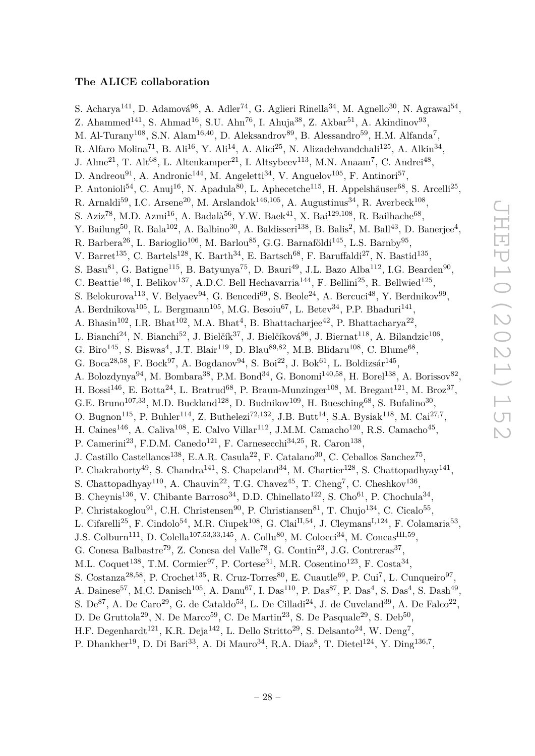# **The ALICE collaboration**

S. Acharya<sup>141</sup>, D. Adamová<sup>96</sup>, A. Adler<sup>74</sup>, G. Aglieri Rinella<sup>34</sup>, M. Agnello<sup>30</sup>, N. Agrawal<sup>54</sup>, Z. Ahammed<sup>141</sup>, S. Ahmad<sup>16</sup>, S.U. Ahn<sup>76</sup>, I. Ahuja<sup>38</sup>, Z. Akbar<sup>51</sup>, A. Akindinov<sup>93</sup>, M. Al-Turany<sup>108</sup>, S.N. Alam<sup>16,40</sup>, D. Aleksandrov<sup>89</sup>, B. Alessandro<sup>59</sup>, H.M. Alfanda<sup>7</sup>, R. Alfaro Molina<sup>71</sup>, B. Ali<sup>16</sup>, Y. Ali<sup>14</sup>, A. Alici<sup>25</sup>, N. Alizadehvandchali<sup>125</sup>, A. Alkin<sup>34</sup>, J. Alme<sup>21</sup>, T. Alt<sup>68</sup>, L. Altenkamper<sup>21</sup>, I. Altsybeev<sup>113</sup>, M.N. Anaam<sup>7</sup>, C. Andrei<sup>48</sup>, D. Andreou<sup>91</sup>, A. Andronic<sup>144</sup>, M. Angeletti<sup>34</sup>, V. Anguelov<sup>105</sup>, F. Antinori<sup>57</sup>, P. Antonioli<sup>54</sup>, C. Anuj<sup>16</sup>, N. Apadula<sup>80</sup>, L. Aphecetche<sup>115</sup>, H. Appelshäuser<sup>68</sup>, S. Arcelli<sup>25</sup>, R. Arnaldi<sup>59</sup>, I.C. Arsene<sup>20</sup>, M. Arslandok<sup>146,105</sup>, A. Augustinus<sup>34</sup>, R. Averbeck<sup>108</sup>, S. Aziz<sup>78</sup>, M.D. Azmi<sup>16</sup>, A. Badalà<sup>56</sup>, Y.W. Baek<sup>41</sup>, X. Bai<sup>129,108</sup>, R. Bailhache<sup>68</sup>, Y. Bailung<sup>50</sup>, R. Bala<sup>102</sup>, A. Balbino<sup>30</sup>, A. Baldisseri<sup>138</sup>, B. Balis<sup>2</sup>, M. Ball<sup>43</sup>, D. Banerjee<sup>4</sup>, R. Barbera<sup>26</sup>, L. Barioglio<sup>106</sup>, M. Barlou<sup>85</sup>, G.G. Barnaföldi<sup>145</sup>, L.S. Barnby<sup>95</sup>, V. Barret<sup>135</sup>, C. Bartels<sup>128</sup>, K. Barth<sup>34</sup>, E. Bartsch<sup>68</sup>, F. Baruffaldi<sup>27</sup>, N. Bastid<sup>135</sup>, S. Basu<sup>81</sup>, G. Batigne<sup>115</sup>, B. Batyunya<sup>75</sup>, D. Bauri<sup>49</sup>, J.L. Bazo Alba<sup>112</sup>, I.G. Bearden<sup>90</sup>, C. Beattie<sup>146</sup>, I. Belikov<sup>137</sup>, A.D.C. Bell Hechavarria<sup>144</sup>, F. Bellini<sup>25</sup>, R. Bellwied<sup>125</sup>, S. Belokurova<sup>113</sup>, V. Belyaev<sup>94</sup>, G. Bencedi<sup>69</sup>, S. Beole<sup>24</sup>, A. Bercuci<sup>48</sup>, Y. Berdnikov<sup>99</sup>, A. Berdnikova<sup>105</sup>, L. Bergmann<sup>105</sup>, M.G. Besoiu<sup>67</sup>, L. Betev<sup>34</sup>, P.P. Bhaduri<sup>141</sup>, A. Bhasin<sup>102</sup>, I.R. Bhat<sup>102</sup>, M.A. Bhat<sup>4</sup>, B. Bhattacharjee<sup>42</sup>, P. Bhattacharya<sup>22</sup>, L. Bianchi<sup>24</sup>, N. Bianchi<sup>52</sup>, J. Bielčík<sup>37</sup>, J. Bielčíková<sup>96</sup>, J. Biernat<sup>118</sup>, A. Bilandzic<sup>106</sup>, G. Biro<sup>145</sup>, S. Biswas<sup>4</sup>, J.T. Blair<sup>119</sup>, D. Blau<sup>89,82</sup>, M.B. Blidaru<sup>108</sup>, C. Blume<sup>68</sup>, G. Boca<sup>28,58</sup>, F. Bock<sup>97</sup>, A. Bogdanov<sup>94</sup>, S. Boi<sup>22</sup>, J. Bok<sup>61</sup>, L. Boldizsár<sup>145</sup>, A. Bolozdynya<sup>94</sup>, M. Bombara<sup>38</sup>, P.M. Bond<sup>34</sup>, G. Bonomi<sup>140,58</sup>, H. Borel<sup>138</sup>, A. Borissov<sup>82</sup>, H. Bossi<sup>146</sup>, E. Botta<sup>24</sup>, L. Bratrud<sup>68</sup>, P. Braun-Munzinger<sup>108</sup>, M. Bregant<sup>121</sup>, M. Broz<sup>37</sup>, G.E. Bruno<sup>107,33</sup>, M.D. Buckland<sup>128</sup>, D. Budnikov<sup>109</sup>, H. Buesching<sup>68</sup>, S. Bufalino<sup>30</sup>, O. Bugnon<sup>115</sup>, P. Buhler<sup>114</sup>, Z. Buthelezi<sup>72,132</sup>, J.B. Butt<sup>14</sup>, S.A. Bysiak<sup>118</sup>, M. Cai<sup>27,7</sup>, H. Caines<sup>146</sup>, A. Caliva<sup>108</sup>, E. Calvo Villar<sup>112</sup>, J.M.M. Camacho<sup>120</sup>, R.S. Camacho<sup>45</sup>, P. Camerini<sup>23</sup>, F.D.M. Canedo<sup>121</sup>, F. Carnesecchi<sup>34,25</sup>, R. Caron<sup>138</sup>, J. Castillo Castellanos<sup>138</sup>, E.A.R. Casula<sup>22</sup>, F. Catalano<sup>30</sup>, C. Ceballos Sanchez<sup>75</sup>, P. Chakraborty<sup>49</sup>, S. Chandra<sup>141</sup>, S. Chapeland<sup>34</sup>, M. Chartier<sup>128</sup>, S. Chattopadhyay<sup>141</sup>, S. Chattopadhyay<sup>110</sup>, A. Chauvin<sup>22</sup>, T.G. Chavez<sup>45</sup>, T. Cheng<sup>7</sup>, C. Cheshkov<sup>136</sup>, B. Cheynis<sup>136</sup>, V. Chibante Barroso<sup>34</sup>, D.D. Chinellato<sup>122</sup>, S. Cho<sup>61</sup>, P. Chochula<sup>34</sup>, P. Christakoglou<sup>91</sup>, C.H. Christensen<sup>90</sup>, P. Christiansen<sup>81</sup>, T. Chujo<sup>134</sup>, C. Cicalo<sup>55</sup>, L. Cifarelli<sup>25</sup>, F. Cindolo<sup>54</sup>, M.R. Ciupek<sup>108</sup>, G. Clai<sup>II,54</sup>, J. Cleymans<sup>I,124</sup>, F. Colamaria<sup>53</sup>, J.S. Colburn<sup>111</sup>, D. Colella<sup>107,53,33,145</sup>, A. Collu<sup>80</sup>, M. Colocci<sup>34</sup>, M. Concas<sup>III,59</sup>, G. Conesa Balbastre<sup>79</sup>, Z. Conesa del Valle<sup>78</sup>, G. Contin<sup>23</sup>, J.G. Contreras<sup>37</sup>, M.L. Coquet<sup>138</sup>, T.M. Cormier<sup>97</sup>, P. Cortese<sup>31</sup>, M.R. Cosentino<sup>123</sup>, F. Costa<sup>34</sup>, S. Costanza<sup>28,58</sup>, P. Crochet<sup>135</sup>, R. Cruz-Torres<sup>80</sup>, E. Cuautle<sup>69</sup>, P. Cui<sup>7</sup>, L. Cunqueiro<sup>97</sup>, A. Dainese<sup>57</sup>, M.C. Danisch<sup>105</sup>, A. Danu<sup>67</sup>, I. Das<sup>110</sup>, P. Das<sup>87</sup>, P. Das<sup>4</sup>, S. Das<sup>4</sup>, S. Dash<sup>49</sup>, S.  $De^{87}$ , A. De Caro<sup>29</sup>, G. de Cataldo<sup>53</sup>, L. De Cilladi<sup>24</sup>, J. de Cuveland<sup>39</sup>, A. De Falco<sup>22</sup>, D. De Gruttola<sup>29</sup>, N. De Marco<sup>59</sup>, C. De Martin<sup>23</sup>, S. De Pasquale<sup>29</sup>, S. Deb<sup>50</sup>, H.F. Degenhardt<sup>121</sup>, K.R. Deja<sup>142</sup>, L. Dello Stritto<sup>29</sup>, S. Delsanto<sup>24</sup>, W. Deng<sup>7</sup>,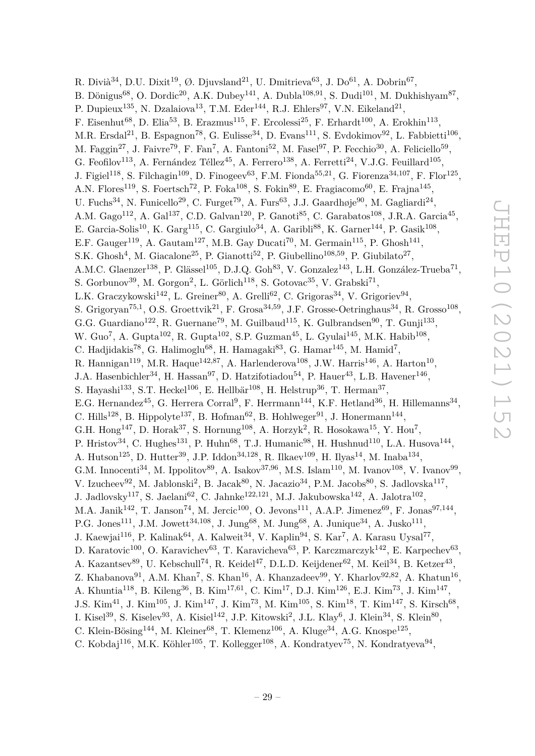R. Divià $^{34}$ , D.U. Dixit<sup>19</sup>, Ø. Djuvsland<sup>21</sup>, U. Dmitrieva<sup>63</sup>, J. Do<sup>61</sup>, A. Dobrin<sup>67</sup>, B. Dönigus<sup>68</sup>, O. Dordic<sup>20</sup>, A.K. Dubey<sup>141</sup>, A. Dubla<sup>108,91</sup>, S. Dudi<sup>101</sup>, M. Dukhishyam<sup>87</sup>, P. Dupieux<sup>135</sup>, N. Dzalaiova<sup>13</sup>, T.M. Eder<sup>144</sup>, R.J. Ehlers<sup>97</sup>, V.N. Eikeland<sup>21</sup>, F. Eisenhut<sup>68</sup>, D. Elia<sup>53</sup>, B. Erazmus<sup>115</sup>, F. Ercolessi<sup>25</sup>, F. Erhardt<sup>100</sup>, A. Erokhin<sup>113</sup>, M.R. Ersdal<sup>21</sup>, B. Espagnon<sup>78</sup>, G. Eulisse<sup>34</sup>, D. Evans<sup>111</sup>, S. Evdokimov<sup>92</sup>, L. Fabbietti<sup>106</sup>, M. Faggin<sup>27</sup>, J. Faivre<sup>79</sup>, F. Fan<sup>7</sup>, A. Fantoni<sup>52</sup>, M. Fasel<sup>97</sup>, P. Fecchio<sup>30</sup>, A. Feliciello<sup>59</sup>, G. Feofilov<sup>113</sup>, A. Fernández Téllez<sup>45</sup>, A. Ferrero<sup>138</sup>, A. Ferretti<sup>24</sup>, V.J.G. Feuillard<sup>105</sup>, J. Figiel<sup>118</sup>, S. Filchagin<sup>109</sup>, D. Finogeev<sup>63</sup>, F.M. Fionda<sup>55,21</sup>, G. Fiorenza<sup>34,107</sup>, F. Flor<sup>125</sup>, A.N. Flores<sup>119</sup>, S. Foertsch<sup>72</sup>, P. Foka<sup>108</sup>, S. Fokin<sup>89</sup>, E. Fragiacomo<sup>60</sup>, E. Frajna<sup>145</sup>, U. Fuchs<sup>34</sup>, N. Funicello<sup>29</sup>, C. Furget<sup>79</sup>, A. Furs<sup>63</sup>, J.J. Gaardhøje<sup>90</sup>, M. Gagliardi<sup>24</sup>, A.M. Gago<sup>112</sup>, A. Gal<sup>137</sup>, C.D. Galvan<sup>120</sup>, P. Ganoti<sup>85</sup>, C. Garabatos<sup>108</sup>, J.R.A. Garcia<sup>45</sup>, E. Garcia-Solis<sup>10</sup>, K. Garg<sup>115</sup>, C. Gargiulo<sup>34</sup>, A. Garibli<sup>88</sup>, K. Garner<sup>144</sup>, P. Gasik<sup>108</sup>, E.F. Gauger<sup>119</sup>, A. Gautam<sup>127</sup>, M.B. Gay Ducati<sup>70</sup>, M. Germain<sup>115</sup>, P. Ghosh<sup>141</sup>, S.K. Ghosh<sup>4</sup>, M. Giacalone<sup>25</sup>, P. Gianotti<sup>52</sup>, P. Giubellino<sup>108,59</sup>, P. Giubilato<sup>27</sup>, A.M.C. Glaenzer<sup>138</sup>, P. Glässel<sup>105</sup>, D.J.Q. Goh<sup>83</sup>, V. Gonzalez<sup>143</sup>, L.H. González-Trueba<sup>71</sup>, S. Gorbunov<sup>39</sup>, M. Gorgon<sup>2</sup>, L. Görlich<sup>118</sup>, S. Gotovac<sup>35</sup>, V. Grabski<sup>71</sup>, L.K. Graczykowski $^{142}$ , L. Greiner $^{80}$ , A. Grelli $^{62}$ , C. Grigoras $^{34}$ , V. Grigoriev $^{94}$ , S. Grigoryan<sup>75,1</sup>, O.S. Groettvik<sup>21</sup>, F. Grosa<sup>34,59</sup>, J.F. Grosse-Oetringhaus<sup>34</sup>, R. Grosso<sup>108</sup>, G.G. Guardiano<sup>122</sup>, R. Guernane<sup>79</sup>, M. Guilbaud<sup>115</sup>, K. Gulbrandsen<sup>90</sup>, T. Gunji<sup>133</sup>, W. Guo<sup>7</sup>, A. Gupta<sup>102</sup>, R. Gupta<sup>102</sup>, S.P. Guzman<sup>45</sup>, L. Gyulai<sup>145</sup>, M.K. Habib<sup>108</sup>, C. Hadjidakis<sup>78</sup>, G. Halimoglu<sup>68</sup>, H. Hamagaki<sup>83</sup>, G. Hamar<sup>145</sup>, M. Hamid<sup>7</sup>, R. Hannigan<sup>119</sup>, M.R. Haque<sup>142,87</sup>, A. Harlenderova<sup>108</sup>, J.W. Harris<sup>146</sup>, A. Harton<sup>10</sup>, J.A. Hasenbichler<sup>34</sup>, H. Hassan<sup>97</sup>, D. Hatzifotiadou<sup>54</sup>, P. Hauer<sup>43</sup>, L.B. Havener<sup>146</sup>, S. Hayashi<sup>133</sup>, S.T. Heckel<sup>106</sup>, E. Hellbär<sup>108</sup>, H. Helstrup<sup>36</sup>, T. Herman<sup>37</sup>, E.G. Hernandez<sup>45</sup>, G. Herrera Corral<sup>9</sup>, F. Herrmann<sup>144</sup>, K.F. Hetland<sup>36</sup>, H. Hillemanns<sup>34</sup>, C. Hills<sup>128</sup>, B. Hippolyte<sup>137</sup>, B. Hofman<sup>62</sup>, B. Hohlweger<sup>91</sup>, J. Honermann<sup>144</sup>, G.H. Hong<sup>147</sup>, D. Horak<sup>37</sup>, S. Hornung<sup>108</sup>, A. Horzyk<sup>2</sup>, R. Hosokawa<sup>15</sup>, Y. Hou<sup>7</sup>, P. Hristov<sup>34</sup>, C. Hughes<sup>131</sup>, P. Huhn<sup>68</sup>, T.J. Humanic<sup>98</sup>, H. Hushnud<sup>110</sup>, L.A. Husova<sup>144</sup>, A. Hutson<sup>125</sup>, D. Hutter<sup>39</sup>, J.P. Iddon<sup>34,128</sup>, R. Ilkaev<sup>109</sup>, H. Ilyas<sup>14</sup>, M. Inaba<sup>134</sup>, G.M. Innocenti<sup>34</sup>, M. Ippolitov<sup>89</sup>, A. Isakov<sup>37,96</sup>, M.S. Islam<sup>110</sup>, M. Ivanov<sup>108</sup>, V. Ivanov<sup>99</sup>, V. Izucheev<sup>92</sup>, M. Jablonski<sup>2</sup>, B. Jacak<sup>80</sup>, N. Jacazio<sup>34</sup>, P.M. Jacobs<sup>80</sup>, S. Jadlovska<sup>117</sup>, J. Jadlovsky<sup>117</sup>, S. Jaelani<sup>62</sup>, C. Jahnke<sup>122,121</sup>, M.J. Jakubowska<sup>142</sup>, A. Jalotra<sup>102</sup>, M.A. Janik<sup>142</sup>, T. Janson<sup>74</sup>, M. Jercic<sup>100</sup>, O. Jevons<sup>111</sup>, A.A.P. Jimenez<sup>69</sup>, F. Jonas<sup>97,144</sup>, P.G. Jones<sup>111</sup>, J.M. Jowett<sup>34,108</sup>, J. Jung<sup>68</sup>, M. Jung<sup>68</sup>, A. Junique<sup>34</sup>, A. Jusko<sup>111</sup>, J. Kaewjai<sup>116</sup>, P. Kalinak<sup>64</sup>, A. Kalweit<sup>34</sup>, V. Kaplin<sup>94</sup>, S. Kar<sup>7</sup>, A. Karasu Uysal<sup>77</sup>, D. Karatovic<sup>100</sup>, O. Karavichev<sup>63</sup>, T. Karavicheva<sup>63</sup>, P. Karczmarczyk<sup>142</sup>, E. Karpechev<sup>63</sup>, A. Kazantsev<sup>89</sup>, U. Kebschull<sup>74</sup>, R. Keidel<sup>47</sup>, D.L.D. Keijdener<sup>62</sup>, M. Keil<sup>34</sup>, B. Ketzer<sup>43</sup>, Z. Khabanova<sup>91</sup>, A.M. Khan<sup>7</sup>, S. Khan<sup>16</sup>, A. Khanzadeev<sup>99</sup>, Y. Kharlov<sup>92,82</sup>, A. Khatun<sup>16</sup>, A. Khuntia<sup>118</sup>, B. Kileng<sup>36</sup>, B. Kim<sup>17,61</sup>, C. Kim<sup>17</sup>, D.J. Kim<sup>126</sup>, E.J. Kim<sup>73</sup>, J. Kim<sup>147</sup>, J.S. Kim<sup>41</sup>, J. Kim<sup>105</sup>, J. Kim<sup>147</sup>, J. Kim<sup>73</sup>, M. Kim<sup>105</sup>, S. Kim<sup>18</sup>, T. Kim<sup>147</sup>, S. Kirsch<sup>68</sup>, I. Kisel<sup>39</sup>, S. Kiselev<sup>93</sup>, A. Kisiel<sup>142</sup>, J.P. Kitowski<sup>2</sup>, J.L. Klay<sup>6</sup>, J. Klein<sup>34</sup>, S. Klein<sup>80</sup>,

C. Klein-Bösing<sup>144</sup>, M. Kleiner<sup>68</sup>, T. Klemenz<sup>106</sup>, A. Kluge<sup>34</sup>, A.G. Knospe<sup>125</sup>,

C. Kobdaj<sup>116</sup>, M.K. Köhler<sup>105</sup>, T. Kollegger<sup>108</sup>, A. Kondratyev<sup>75</sup>, N. Kondratyeva<sup>94</sup>,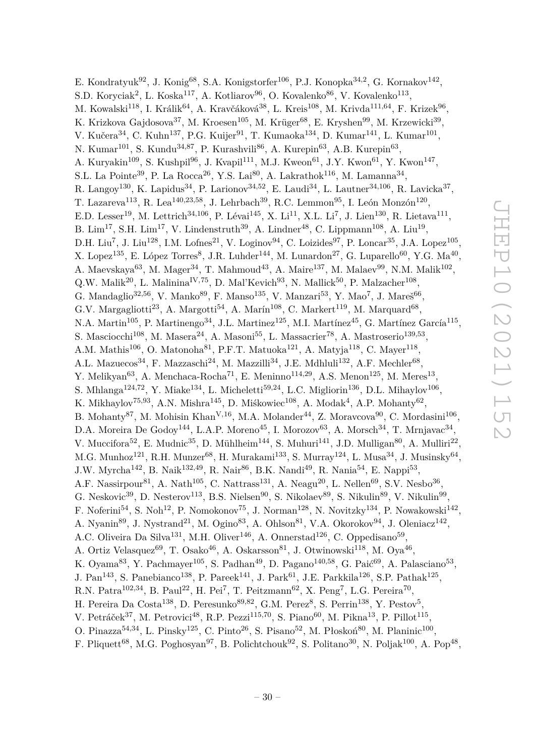E. Kondratyuk<sup>92</sup>, J. Konig<sup>68</sup>, S.A. Konigstorfer<sup>106</sup>, P.J. Konopka<sup>34,2</sup>, G. Kornakov<sup>142</sup>, S.D. Koryciak<sup>2</sup>, L. Koska<sup>117</sup>, A. Kotliarov<sup>96</sup>, O. Kovalenko<sup>86</sup>, V. Kovalenko<sup>113</sup>, M. Kowalski<sup>118</sup>, I. Králik<sup>64</sup>, A. Kravčáková<sup>38</sup>, L. Kreis<sup>108</sup>, M. Krivda<sup>111,64</sup>, F. Krizek<sup>96</sup>, K. Krizkova Gajdosova $^{37}$ , M. Kroesen $^{105}$ , M. Krüger $^{68}$ , E. Kryshen $^{99}$ , M. Krzewicki $^{39}$ , V. Kučera<sup>34</sup>, C. Kuhn<sup>137</sup>, P.G. Kuijer<sup>91</sup>, T. Kumaoka<sup>134</sup>, D. Kumar<sup>141</sup>, L. Kumar<sup>101</sup>, N. Kumar<sup>101</sup>, S. Kundu<sup>34,87</sup>, P. Kurashvili<sup>86</sup>, A. Kurepin<sup>63</sup>, A.B. Kurepin<sup>63</sup>, A. Kuryakin<sup>109</sup>, S. Kushpil<sup>96</sup>, J. Kvapil<sup>111</sup>, M.J. Kweon<sup>61</sup>, J.Y. Kwon<sup>61</sup>, Y. Kwon<sup>147</sup>, S.L. La Pointe<sup>39</sup>, P. La Rocca<sup>26</sup>, Y.S. Lai<sup>80</sup>, A. Lakrathok<sup>116</sup>, M. Lamanna<sup>34</sup>, R. Langoy<sup>130</sup>, K. Lapidus<sup>34</sup>, P. Larionov<sup>34,52</sup>, E. Laudi<sup>34</sup>, L. Lautner<sup>34,106</sup>, R. Lavicka<sup>37</sup>, T. Lazareva<sup>113</sup>, R. Lea<sup>140,23,58</sup>, J. Lehrbach<sup>39</sup>, R.C. Lemmon<sup>95</sup>, I. León Monzón<sup>120</sup>, E.D. Lesser<sup>19</sup>, M. Lettrich<sup>34,106</sup>, P. Lévai<sup>145</sup>, X. Li<sup>11</sup>, X.L. Li<sup>7</sup>, J. Lien<sup>130</sup>, R. Lietava<sup>111</sup>, B. Lim<sup>17</sup>, S.H. Lim<sup>17</sup>, V. Lindenstruth<sup>39</sup>, A. Lindner<sup>48</sup>, C. Lippmann<sup>108</sup>, A. Liu<sup>19</sup>, D.H. Liu<sup>7</sup>, J. Liu<sup>128</sup>, I.M. Lofnes<sup>21</sup>, V. Loginov<sup>94</sup>, C. Loizides<sup>97</sup>, P. Loncar<sup>35</sup>, J.A. Lopez<sup>105</sup>, X. Lopez<sup>135</sup>, E. López Torres<sup>8</sup>, J.R. Luhder<sup>144</sup>, M. Lunardon<sup>27</sup>, G. Luparello<sup>60</sup>, Y.G. Ma<sup>40</sup>, A. Maevskaya<sup>63</sup>, M. Mager<sup>34</sup>, T. Mahmoud<sup>43</sup>, A. Maire<sup>137</sup>, M. Malaev<sup>99</sup>, N.M. Malik<sup>102</sup>, Q.W. Malik<sup>20</sup>, L. Malinina<sup>IV,75</sup>, D. Mal'Kevich<sup>93</sup>, N. Mallick<sup>50</sup>, P. Malzacher<sup>108</sup>, G. Mandaglio<sup>32,56</sup>, V. Manko<sup>89</sup>, F. Manso<sup>135</sup>, V. Manzari<sup>53</sup>, Y. Mao<sup>7</sup>, J. Mareš<sup>66</sup>, G.V. Margagliotti<sup>23</sup>, A. Margotti<sup>54</sup>, A. Marín<sup>108</sup>, C. Markert<sup>119</sup>, M. Marquard<sup>68</sup>, N.A. Martin<sup>105</sup>, P. Martinengo<sup>34</sup>, J.L. Martinez<sup>125</sup>, M.I. Martínez<sup>45</sup>, G. Martínez García<sup>115</sup>, S. Masciocchi<sup>108</sup>, M. Masera<sup>24</sup>, A. Masoni<sup>55</sup>, L. Massacrier<sup>78</sup>, A. Mastroserio<sup>139,53</sup>, A.M. Mathis<sup>106</sup>, O. Matonoha<sup>81</sup>, P.F.T. Matuoka<sup>121</sup>, A. Matyja<sup>118</sup>, C. Mayer<sup>118</sup>, A.L. Mazuecos<sup>34</sup>, F. Mazzaschi<sup>24</sup>, M. Mazzilli<sup>34</sup>, J.E. Mdhluli<sup>132</sup>, A.F. Mechler<sup>68</sup>, Y. Melikyan<sup>63</sup>, A. Menchaca-Rocha<sup>71</sup>, E. Meninno<sup>114,29</sup>, A.S. Menon<sup>125</sup>, M. Meres<sup>13</sup>, S. Mhlanga<sup>124,72</sup>, Y. Miake<sup>134</sup>, L. Micheletti<sup>59,24</sup>, L.C. Migliorin<sup>136</sup>, D.L. Mihaylov<sup>106</sup>, K. Mikhaylov<sup>75,93</sup>, A.N. Mishra<sup>145</sup>, D. Miśkowiec<sup>108</sup>, A. Modak<sup>4</sup>, A.P. Mohanty<sup>62</sup>, B. Mohanty<sup>87</sup>, M. Mohisin Khan<sup>V,16</sup>, M.A. Molander<sup>44</sup>, Z. Moravcova<sup>90</sup>, C. Mordasini<sup>106</sup>, D.A. Moreira De Godoy<sup>144</sup>, L.A.P. Moreno<sup>45</sup>, I. Morozov<sup>63</sup>, A. Morsch<sup>34</sup>, T. Mrnjavac<sup>34</sup>, V. Muccifora<sup>52</sup>, E. Mudnic<sup>35</sup>, D. Mühlheim<sup>144</sup>, S. Muhuri<sup>141</sup>, J.D. Mulligan<sup>80</sup>, A. Mulliri<sup>22</sup>, M.G. Munhoz<sup>121</sup>, R.H. Munzer<sup>68</sup>, H. Murakami<sup>133</sup>, S. Murray<sup>124</sup>, L. Musa<sup>34</sup>, J. Musinsky<sup>64</sup>, J.W. Myrcha<sup>142</sup>, B. Naik<sup>132,49</sup>, R. Nair<sup>86</sup>, B.K. Nandi<sup>49</sup>, R. Nania<sup>54</sup>, E. Nappi<sup>53</sup>, A.F. Nassirpour<sup>81</sup>, A. Nath<sup>105</sup>, C. Nattrass<sup>131</sup>, A. Neagu<sup>20</sup>, L. Nellen<sup>69</sup>, S.V. Nesbo<sup>36</sup>, G. Neskovic<sup>39</sup>, D. Nesterov<sup>113</sup>, B.S. Nielsen<sup>90</sup>, S. Nikolaev<sup>89</sup>, S. Nikulin<sup>89</sup>, V. Nikulin<sup>99</sup>, F. Noferini<sup>54</sup>, S. Noh<sup>12</sup>, P. Nomokonov<sup>75</sup>, J. Norman<sup>128</sup>, N. Novitzky<sup>134</sup>, P. Nowakowski<sup>142</sup>, A. Nyanin<sup>89</sup>, J. Nystrand<sup>21</sup>, M. Ogino<sup>83</sup>, A. Ohlson<sup>81</sup>, V.A. Okorokov<sup>94</sup>, J. Oleniacz<sup>142</sup>, A.C. Oliveira Da Silva<sup>131</sup>, M.H. Oliver<sup>146</sup>, A. Onnerstad<sup>126</sup>, C. Oppedisano<sup>59</sup>, A. Ortiz Velasquez<sup>69</sup>, T. Osako<sup>46</sup>, A. Oskarsson<sup>81</sup>, J. Otwinowski<sup>118</sup>, M. Oya<sup>46</sup>, K. Oyama<sup>83</sup>, Y. Pachmayer<sup>105</sup>, S. Padhan<sup>49</sup>, D. Pagano<sup>140,58</sup>, G. Paić<sup>69</sup>, A. Palasciano<sup>53</sup>, J. Pan<sup>143</sup>, S. Panebianco<sup>138</sup>, P. Pareek<sup>141</sup>, J. Park<sup>61</sup>, J.E. Parkkila<sup>126</sup>, S.P. Pathak<sup>125</sup>, R.N. Patra<sup>102,34</sup>, B. Paul<sup>22</sup>, H. Pei<sup>7</sup>, T. Peitzmann<sup>62</sup>, X. Peng<sup>7</sup>, L.G. Pereira<sup>70</sup>, H. Pereira Da Costa<sup>138</sup>, D. Peresunko<sup>89,82</sup>, G.M. Perez<sup>8</sup>, S. Perrin<sup>138</sup>, Y. Pestov<sup>5</sup>, V. Petráček<sup>37</sup>, M. Petrovici<sup>48</sup>, R.P. Pezzi<sup>115,70</sup>, S. Piano<sup>60</sup>, M. Pikna<sup>13</sup>, P. Pillot<sup>115</sup>, O. Pinazza<sup>54,34</sup>, L. Pinsky<sup>125</sup>, C. Pinto<sup>26</sup>, S. Pisano<sup>52</sup>, M. Płoskoń<sup>80</sup>, M. Planinic<sup>100</sup>,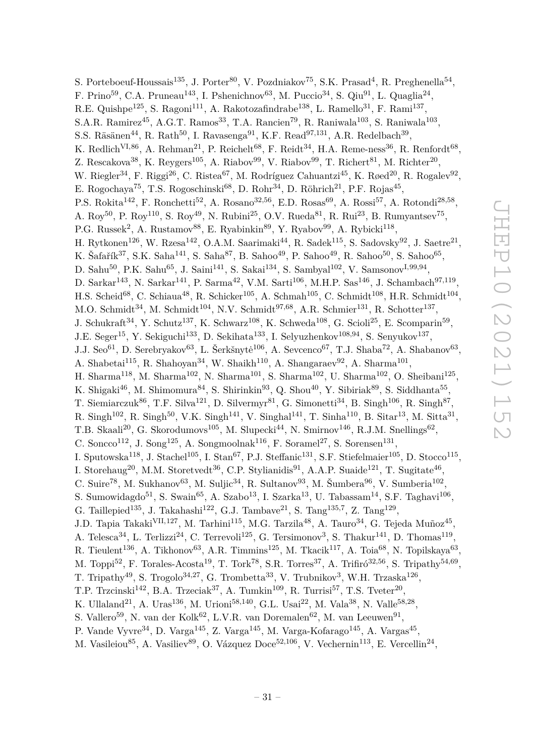S. Porteboeuf-Houssais<sup>135</sup>, J. Porter<sup>80</sup>, V. Pozdniakov<sup>75</sup>, S.K. Prasad<sup>4</sup>, R. Preghenella<sup>54</sup>, F. Prino<sup>59</sup>, C.A. Pruneau<sup>143</sup>, I. Pshenichnov<sup>63</sup>, M. Puccio<sup>34</sup>, S. Qiu<sup>91</sup>, L. Quaglia<sup>24</sup>, R.E. Quishpe<sup>125</sup>, S. Ragoni<sup>111</sup>, A. Rakotozafindrabe<sup>138</sup>, L. Ramello<sup>31</sup>, F. Rami<sup>137</sup>, S.A.R. Ramirez<sup>45</sup>, A.G.T. Ramos<sup>33</sup>, T.A. Rancien<sup>79</sup>, R. Raniwala<sup>103</sup>, S. Raniwala<sup>103</sup>, S.S. Räsänen<sup>44</sup>, R. Rath<sup>50</sup>, I. Ravasenga<sup>91</sup>, K.F. Read<sup>97,131</sup>, A.R. Redelbach<sup>39</sup>, K. Redlich<sup>VI,86</sup>, A. Rehman<sup>21</sup>, P. Reichelt<sup>68</sup>, F. Reidt<sup>34</sup>, H.A. Reme-ness<sup>36</sup>, R. Renfordt<sup>68</sup>, Z. Rescakova<sup>38</sup>, K. Reygers<sup>105</sup>, A. Riabov<sup>99</sup>, V. Riabov<sup>99</sup>, T. Richert<sup>81</sup>, M. Richter<sup>20</sup>, W. Riegler<sup>34</sup>, F. Riggi<sup>26</sup>, C. Ristea<sup>67</sup>, M. Rodríguez Cahuantzi<sup>45</sup>, K. Røed<sup>20</sup>, R. Rogalev<sup>92</sup>, E. Rogochaya<sup>75</sup>, T.S. Rogoschinski<sup>68</sup>, D. Rohr<sup>34</sup>, D. Röhrich<sup>21</sup>, P.F. Rojas<sup>45</sup>, P.S. Rokita<sup>142</sup>, F. Ronchetti<sup>52</sup>, A. Rosano<sup>32,56</sup>, E.D. Rosas<sup>69</sup>, A. Rossi<sup>57</sup>, A. Rotondi<sup>28,58</sup>, A. Roy<sup>50</sup>, P. Roy<sup>110</sup>, S. Roy<sup>49</sup>, N. Rubini<sup>25</sup>, O.V. Rueda<sup>81</sup>, R. Rui<sup>23</sup>, B. Rumyantsev<sup>75</sup>, P.G. Russek<sup>2</sup>, A. Rustamov<sup>88</sup>, E. Ryabinkin<sup>89</sup>, Y. Ryabov<sup>99</sup>, A. Rybicki<sup>118</sup>, H. Rytkonen<sup>126</sup>, W. Rzesa<sup>142</sup>, O.A.M. Saarimaki<sup>44</sup>, R. Sadek<sup>115</sup>, S. Sadovsky<sup>92</sup>, J. Saetre<sup>21</sup>, K. Šafařík $^{37}$ , S.K. Saha $^{141}$ , S. Saha $^{87}$ , B. Sahoo $^{49}$ , P. Sahoo $^{49}$ , R. Sahoo $^{50}$ , S. Sahoo $^{65}$ , D. Sahu<sup>50</sup>, P.K. Sahu<sup>65</sup>, J. Saini<sup>141</sup>, S. Sakai<sup>134</sup>, S. Sambyal<sup>102</sup>, V. Samsonov<sup>I,99,94</sup>, D. Sarkar<sup>143</sup>, N. Sarkar<sup>141</sup>, P. Sarma<sup>42</sup>, V.M. Sarti<sup>106</sup>, M.H.P. Sas<sup>146</sup>, J. Schambach<sup>97,119</sup>, H.S. Scheid<sup>68</sup>, C. Schiaua<sup>48</sup>, R. Schicker<sup>105</sup>, A. Schmah<sup>105</sup>, C. Schmidt<sup>108</sup>, H.R. Schmidt<sup>104</sup>, M.O. Schmidt<sup>34</sup>, M. Schmidt<sup>104</sup>, N.V. Schmidt<sup>97,68</sup>, A.R. Schmier<sup>131</sup>, R. Schotter<sup>137</sup>, J. Schukraft<sup>34</sup>, Y. Schutz<sup>137</sup>, K. Schwarz<sup>108</sup>, K. Schweda<sup>108</sup>, G. Scioli<sup>25</sup>, E. Scomparin<sup>59</sup>, J.E. Seger<sup>15</sup>, Y. Sekiguchi<sup>133</sup>, D. Sekihata<sup>133</sup>, I. Selyuzhenkov<sup>108,94</sup>, S. Senyukov<sup>137</sup>, J.J. Seo<sup>61</sup>, D. Serebryakov<sup>63</sup>, L. Šerkšnytė<sup>106</sup>, A. Sevcenco<sup>67</sup>, T.J. Shaba<sup>72</sup>, A. Shabanov<sup>63</sup>, A. Shabetai<sup>115</sup>, R. Shahoyan<sup>34</sup>, W. Shaikh<sup>110</sup>, A. Shangaraev<sup>92</sup>, A. Sharma<sup>101</sup>, H. Sharma<sup>118</sup>, M. Sharma<sup>102</sup>, N. Sharma<sup>101</sup>, S. Sharma<sup>102</sup>, U. Sharma<sup>102</sup>, O. Sheibani<sup>125</sup>, K. Shigaki $^{46}$ , M. Shimomura $^{84}$ , S. Shirinkin $^{93}$ , Q. Shou $^{40}$ , Y. Sibiriak $^{89}$ , S. Siddhanta $^{55}$ , T. Siemiarczuk<sup>86</sup>, T.F. Silva<sup>121</sup>, D. Silvermyr<sup>81</sup>, G. Simonetti<sup>34</sup>, B. Singh<sup>106</sup>, R. Singh<sup>87</sup>, R. Singh<sup>102</sup>, R. Singh<sup>50</sup>, V.K. Singh<sup>141</sup>, V. Singhal<sup>141</sup>, T. Sinha<sup>110</sup>, B. Sitar<sup>13</sup>, M. Sitta<sup>31</sup>, T.B. Skaali<sup>20</sup>, G. Skorodumovs<sup>105</sup>, M. Slupecki<sup>44</sup>, N. Smirnov<sup>146</sup>, R.J.M. Snellings<sup>62</sup>, C. Soncco<sup>112</sup>, J. Song<sup>125</sup>, A. Songmoolnak<sup>116</sup>, F. Soramel<sup>27</sup>, S. Sorensen<sup>131</sup>, I. Sputowska<sup>118</sup>, J. Stachel<sup>105</sup>, I. Stan<sup>67</sup>, P.J. Steffanic<sup>131</sup>, S.F. Stiefelmaier<sup>105</sup>, D. Stocco<sup>115</sup>, I. Storehaug<sup>20</sup>, M.M. Storetvedt<sup>36</sup>, C.P. Stylianidis<sup>91</sup>, A.A.P. Suaide<sup>121</sup>, T. Sugitate<sup>46</sup>, C. Suire<sup>78</sup>, M. Sukhanov<sup>63</sup>, M. Suljic<sup>34</sup>, R. Sultanov<sup>93</sup>, M. Šumbera<sup>96</sup>, V. Sumberia<sup>102</sup>, S. Sumowidagdo<sup>51</sup>, S. Swain<sup>65</sup>, A. Szabo<sup>13</sup>, I. Szarka<sup>13</sup>, U. Tabassam<sup>14</sup>, S.F. Taghavi<sup>106</sup>, G. Taillepied<sup>135</sup>, J. Takahashi<sup>122</sup>, G.J. Tambave<sup>21</sup>, S. Tang<sup>135,7</sup>, Z. Tang<sup>129</sup>, J.D. Tapia Takaki<sup>VII,127</sup>, M. Tarhini<sup>115</sup>, M.G. Tarzila<sup>48</sup>, A. Tauro<sup>34</sup>, G. Tejeda Muñoz<sup>45</sup>, A. Telesca<sup>34</sup>, L. Terlizzi<sup>24</sup>, C. Terrevoli<sup>125</sup>, G. Tersimonov<sup>3</sup>, S. Thakur<sup>141</sup>, D. Thomas<sup>119</sup>, R. Tieulent<sup>136</sup>, A. Tikhonov<sup>63</sup>, A.R. Timmins<sup>125</sup>, M. Tkacik<sup>117</sup>, A. Toia<sup>68</sup>, N. Topilskaya<sup>63</sup>, M. Toppi<sup>52</sup>, F. Torales-Acosta<sup>19</sup>, T. Tork<sup>78</sup>, S.R. Torres<sup>37</sup>, A. Trifiró<sup>32,56</sup>, S. Tripathy<sup>54,69</sup>, T. Tripathy<sup>49</sup>, S. Trogolo<sup>34,27</sup>, G. Trombetta<sup>33</sup>, V. Trubnikov<sup>3</sup>, W.H. Trzaska<sup>126</sup>, T.P. Trzcinski<sup>142</sup>, B.A. Trzeciak<sup>37</sup>, A. Tumkin<sup>109</sup>, R. Turrisi<sup>57</sup>, T.S. Tveter<sup>20</sup>, K. Ullaland<sup>21</sup>, A. Uras<sup>136</sup>, M. Urioni<sup>58,140</sup>, G.L. Usai<sup>22</sup>, M. Vala<sup>38</sup>, N. Valle<sup>58,28</sup>, S. Vallero<sup>59</sup>, N. van der Kolk<sup>62</sup>, L.V.R. van Doremalen<sup>62</sup>, M. van Leeuwen<sup>91</sup>, P. Vande Vyvre<sup>34</sup>, D. Varga<sup>145</sup>, Z. Varga<sup>145</sup>, M. Varga-Kofarago<sup>145</sup>, A. Vargas<sup>45</sup>,

M. Vasileiou<sup>85</sup>, A. Vasiliev<sup>89</sup>, O. Vázquez Doce<sup>52,106</sup>, V. Vechernin<sup>113</sup>, E. Vercellin<sup>24</sup>,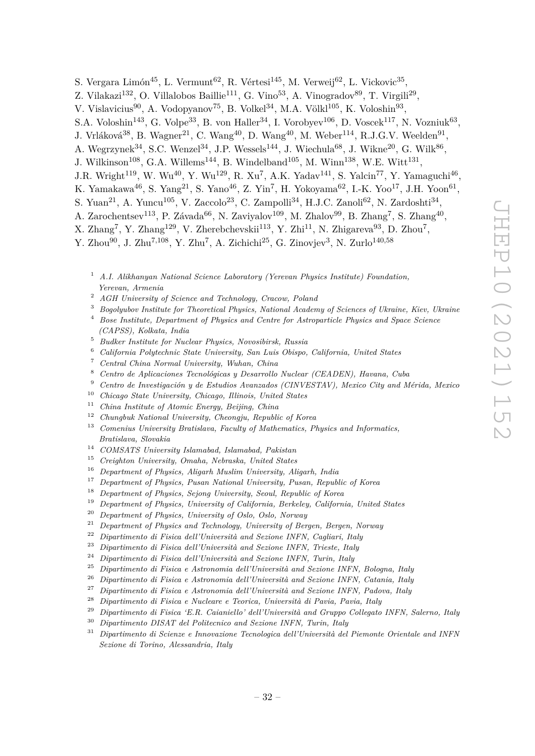- S. Vergara Limón<sup>45</sup>, L. Vermunt<sup>62</sup>, R. Vértesi<sup>145</sup>, M. Verweij<sup>62</sup>, L. Vickovic<sup>35</sup>,
- Z. Vilakazi<sup>132</sup>, O. Villalobos Baillie<sup>111</sup>, G. Vino<sup>53</sup>, A. Vinogradov<sup>89</sup>, T. Virgili<sup>29</sup>,
- V. Vislavicius<sup>90</sup>, A. Vodopyanov<sup>75</sup>, B. Volkel<sup>34</sup>, M.A. Völkl<sup>105</sup>, K. Voloshin<sup>93</sup>,
- S.A. Voloshin<sup>143</sup>, G. Volpe<sup>33</sup>, B. von Haller<sup>34</sup>, I. Vorobyev<sup>106</sup>, D. Voscek<sup>117</sup>, N. Vozniuk<sup>63</sup>,
- J. Vrláková<sup>38</sup>, B. Wagner<sup>21</sup>, C. Wang<sup>40</sup>, D. Wang<sup>40</sup>, M. Weber<sup>114</sup>, R.J.G.V. Weelden<sup>91</sup>,
- A. Wegrzynek<sup>34</sup>, S.C. Wenzel<sup>34</sup>, J.P. Wessels<sup>144</sup>, J. Wiechula<sup>68</sup>, J. Wikne<sup>20</sup>, G. Wilk<sup>86</sup>,
- J. Wilkinson<sup>108</sup>, G.A. Willems<sup>144</sup>, B. Windelband<sup>105</sup>, M. Winn<sup>138</sup>, W.E. Witt<sup>131</sup>,
- J.R. Wright<sup>119</sup>, W. Wu<sup>40</sup>, Y. Wu<sup>129</sup>, R. Xu<sup>7</sup>, A.K. Yadav<sup>141</sup>, S. Yalcin<sup>77</sup>, Y. Yamaguchi<sup>46</sup>,
- K. Yamakawa $^{46}$ , S. Yang $^{21}$ , S. Yano $^{46}$ , Z. Yin<sup>7</sup>, H. Yokoyama $^{62}$ , I.-K. Yoo<sup>17</sup>, J.H. Yoon $^{61}$ ,
- S. Yuan<sup>21</sup>, A. Yuncu<sup>105</sup>, V. Zaccolo<sup>23</sup>, C. Zampolli<sup>34</sup>, H.J.C. Zanoli<sup>62</sup>, N. Zardoshti<sup>34</sup>,
- A. Zarochentsev<sup>113</sup>, P. Závada<sup>66</sup>, N. Zaviyalov<sup>109</sup>, M. Zhalov<sup>99</sup>, B. Zhang<sup>7</sup>, S. Zhang<sup>40</sup>,
- X. Zhang<sup>7</sup>, Y. Zhang<sup>129</sup>, V. Zherebchevskii<sup>113</sup>, Y. Zhi<sup>11</sup>, N. Zhigareva<sup>93</sup>, D. Zhou<sup>7</sup>,
- Y. Zhou<sup>90</sup>, J. Zhu<sup>7,108</sup>, Y. Zhu<sup>7</sup>, A. Zichichi<sup>25</sup>, G. Zinovjev<sup>3</sup>, N. Zurlo<sup>140,58</sup>
	- <sup>1</sup> *A.I. Alikhanyan National Science Laboratory (Yerevan Physics Institute) Foundation, Yerevan, Armenia*
	- <sup>2</sup> *AGH University of Science and Technology, Cracow, Poland*
	- <sup>3</sup> *Bogolyubov Institute for Theoretical Physics, National Academy of Sciences of Ukraine, Kiev, Ukraine* <sup>4</sup> *Bose Institute, Department of Physics and Centre for Astroparticle Physics and Space Science (CAPSS), Kolkata, India*
	- <sup>5</sup> *Budker Institute for Nuclear Physics, Novosibirsk, Russia*
	- <sup>6</sup> *California Polytechnic State University, San Luis Obispo, California, United States*
	- <sup>7</sup> *Central China Normal University, Wuhan, China*
	- <sup>8</sup> *Centro de Aplicaciones Tecnológicas y Desarrollo Nuclear (CEADEN), Havana, Cuba*
	- <sup>9</sup> *Centro de Investigación y de Estudios Avanzados (CINVESTAV), Mexico City and Mérida, Mexico*
	- <sup>10</sup> *Chicago State University, Chicago, Illinois, United States*
	- <sup>11</sup> *China Institute of Atomic Energy, Beijing, China*
	- <sup>12</sup> *Chungbuk National University, Cheongju, Republic of Korea*
	- <sup>13</sup> *Comenius University Bratislava, Faculty of Mathematics, Physics and Informatics, Bratislava, Slovakia*
	- <sup>14</sup> *COMSATS University Islamabad, Islamabad, Pakistan*
	- <sup>15</sup> *Creighton University, Omaha, Nebraska, United States*
	- <sup>16</sup> *Department of Physics, Aligarh Muslim University, Aligarh, India*
	- <sup>17</sup> *Department of Physics, Pusan National University, Pusan, Republic of Korea*
	- <sup>18</sup> *Department of Physics, Sejong University, Seoul, Republic of Korea*
	- <sup>19</sup> *Department of Physics, University of California, Berkeley, California, United States*
	- <sup>20</sup> *Department of Physics, University of Oslo, Oslo, Norway*
	- <sup>21</sup> Department of Physics and Technology, University of Bergen, Bergen, Norway<br><sup>22</sup> Dinartimento di Fisica dell'Università and Sezione INFN Capliari, Italy
	- <sup>22</sup> *Dipartimento di Fisica dell'Università and Sezione INFN, Cagliari, Italy*
	- <sup>23</sup> *Dipartimento di Fisica dell'Università and Sezione INFN, Trieste, Italy*
	- <sup>24</sup> *Dipartimento di Fisica dell'Università and Sezione INFN, Turin, Italy*
	- <sup>25</sup> *Dipartimento di Fisica e Astronomia dell'Università and Sezione INFN, Bologna, Italy*
	- <sup>26</sup> *Dipartimento di Fisica e Astronomia dell'Università and Sezione INFN, Catania, Italy*
	- <sup>27</sup> *Dipartimento di Fisica e Astronomia dell'Università and Sezione INFN, Padova, Italy*
	- <sup>28</sup> *Dipartimento di Fisica e Nucleare e Teorica, Università di Pavia, Pavia, Italy*
	- <sup>29</sup> *Dipartimento di Fisica 'E.R. Caianiello' dell'Università and Gruppo Collegato INFN, Salerno, Italy*
	- <sup>30</sup> *Dipartimento DISAT del Politecnico and Sezione INFN, Turin, Italy*
	- <sup>31</sup> *Dipartimento di Scienze e Innovazione Tecnologica dell'Università del Piemonte Orientale and INFN Sezione di Torino, Alessandria, Italy*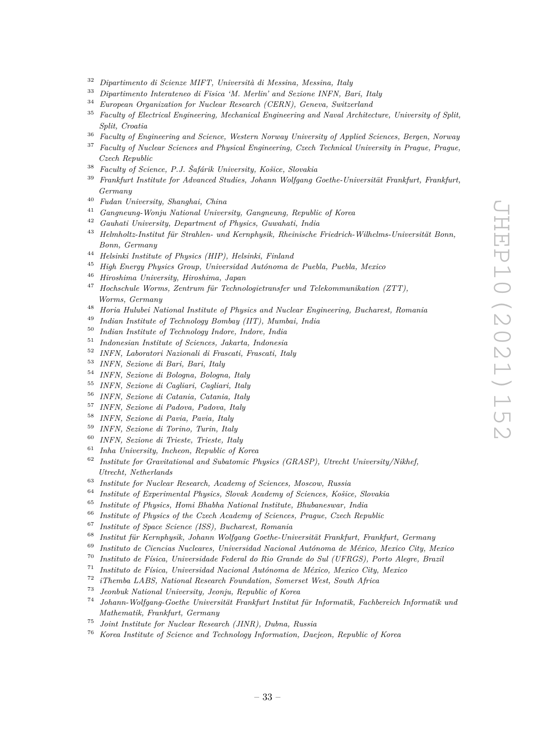- *Dipartimento di Scienze MIFT, Università di Messina, Messina, Italy*
- *Dipartimento Interateneo di Fisica 'M. Merlin' and Sezione INFN, Bari, Italy*
- *European Organization for Nuclear Research (CERN), Geneva, Switzerland*
- *Faculty of Electrical Engineering, Mechanical Engineering and Naval Architecture, University of Split, Split, Croatia*
- *Faculty of Engineering and Science, Western Norway University of Applied Sciences, Bergen, Norway*
- *Faculty of Nuclear Sciences and Physical Engineering, Czech Technical University in Prague, Prague, Czech Republic*
- *Faculty of Science, P.J. Šafárik University, Košice, Slovakia*
- *Frankfurt Institute for Advanced Studies, Johann Wolfgang Goethe-Universität Frankfurt, Frankfurt, Germany*
- *Fudan University, Shanghai, China*
- *Gangneung-Wonju National University, Gangneung, Republic of Korea*
- *Gauhati University, Department of Physics, Guwahati, India*
- *Helmholtz-Institut für Strahlen- und Kernphysik, Rheinische Friedrich-Wilhelms-Universität Bonn, Bonn, Germany*
- *Helsinki Institute of Physics (HIP), Helsinki, Finland*
- *High Energy Physics Group, Universidad Autónoma de Puebla, Puebla, Mexico*
- *Hiroshima University, Hiroshima, Japan*
- *Hochschule Worms, Zentrum für Technologietransfer und Telekommunikation (ZTT), Worms, Germany*
- *Horia Hulubei National Institute of Physics and Nuclear Engineering, Bucharest, Romania*
- *Indian Institute of Technology Bombay (IIT), Mumbai, India*
- *Indian Institute of Technology Indore, Indore, India*
- *Indonesian Institute of Sciences, Jakarta, Indonesia*
- *INFN, Laboratori Nazionali di Frascati, Frascati, Italy*
- *INFN, Sezione di Bari, Bari, Italy*
- *INFN, Sezione di Bologna, Bologna, Italy*
- *INFN, Sezione di Cagliari, Cagliari, Italy*
- *INFN, Sezione di Catania, Catania, Italy*
- *INFN, Sezione di Padova, Padova, Italy*
- *INFN, Sezione di Pavia, Pavia, Italy*
- *INFN, Sezione di Torino, Turin, Italy*
- *INFN, Sezione di Trieste, Trieste, Italy*
- *Inha University, Incheon, Republic of Korea*
- *Institute for Gravitational and Subatomic Physics (GRASP), Utrecht University/Nikhef, Utrecht, Netherlands*
- *Institute for Nuclear Research, Academy of Sciences, Moscow, Russia*
- *Institute of Experimental Physics, Slovak Academy of Sciences, Košice, Slovakia*
- *Institute of Physics, Homi Bhabha National Institute, Bhubaneswar, India*
- *Institute of Physics of the Czech Academy of Sciences, Prague, Czech Republic*
- *Institute of Space Science (ISS), Bucharest, Romania*
- *Institut für Kernphysik, Johann Wolfgang Goethe-Universität Frankfurt, Frankfurt, Germany*
- *Instituto de Ciencias Nucleares, Universidad Nacional Autónoma de México, Mexico City, Mexico*
- *Instituto de Física, Universidade Federal do Rio Grande do Sul (UFRGS), Porto Alegre, Brazil*
- *Instituto de Física, Universidad Nacional Autónoma de México, Mexico City, Mexico*
- *iThemba LABS, National Research Foundation, Somerset West, South Africa*
- *Jeonbuk National University, Jeonju, Republic of Korea*
- *Johann-Wolfgang-Goethe Universität Frankfurt Institut für Informatik, Fachbereich Informatik und Mathematik, Frankfurt, Germany*
- *Joint Institute for Nuclear Research (JINR), Dubna, Russia*
- *Korea Institute of Science and Technology Information, Daejeon, Republic of Korea*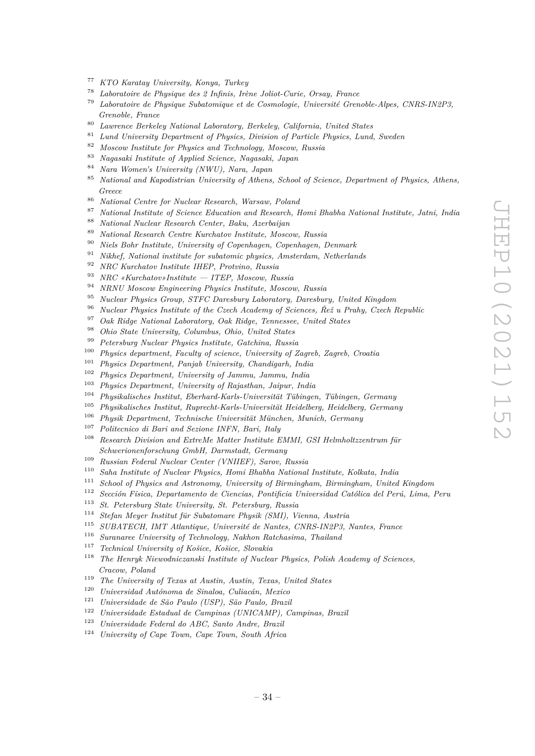- *KTO Karatay University, Konya, Turkey*
- *Laboratoire de Physique des 2 Infinis, Irène Joliot-Curie, Orsay, France*
- *Laboratoire de Physique Subatomique et de Cosmologie, Université Grenoble-Alpes, CNRS-IN2P3, Grenoble, France*
- *Lawrence Berkeley National Laboratory, Berkeley, California, United States*
- *Lund University Department of Physics, Division of Particle Physics, Lund, Sweden*
- *Moscow Institute for Physics and Technology, Moscow, Russia*
- *Nagasaki Institute of Applied Science, Nagasaki, Japan*
- *Nara Women's University (NWU), Nara, Japan*
- *National and Kapodistrian University of Athens, School of Science, Department of Physics, Athens, Greece*
- *National Centre for Nuclear Research, Warsaw, Poland*
- *National Institute of Science Education and Research, Homi Bhabha National Institute, Jatni, India*
- *National Nuclear Research Center, Baku, Azerbaijan*
- *National Research Centre Kurchatov Institute, Moscow, Russia*
- *Niels Bohr Institute, University of Copenhagen, Copenhagen, Denmark*
- *Nikhef, National institute for subatomic physics, Amsterdam, Netherlands*
- *NRC Kurchatov Institute IHEP, Protvino, Russia*
- *NRC «Kurchatov»Institute ITEP, Moscow, Russia*
- *NRNU Moscow Engineering Physics Institute, Moscow, Russia*
- *Nuclear Physics Group, STFC Daresbury Laboratory, Daresbury, United Kingdom*
- *Nuclear Physics Institute of the Czech Academy of Sciences, Řež u Prahy, Czech Republic*
- *Oak Ridge National Laboratory, Oak Ridge, Tennessee, United States*
- *Ohio State University, Columbus, Ohio, United States*
- *Petersburg Nuclear Physics Institute, Gatchina, Russia*
- *Physics department, Faculty of science, University of Zagreb, Zagreb, Croatia*
- *Physics Department, Panjab University, Chandigarh, India*
- *Physics Department, University of Jammu, Jammu, India*
- *Physics Department, University of Rajasthan, Jaipur, India*
- *Physikalisches Institut, Eberhard-Karls-Universität Tübingen, Tübingen, Germany*
- *Physikalisches Institut, Ruprecht-Karls-Universität Heidelberg, Heidelberg, Germany*
- *Physik Department, Technische Universität München, Munich, Germany*
- *Politecnico di Bari and Sezione INFN, Bari, Italy*
- *Research Division and ExtreMe Matter Institute EMMI, GSI Helmholtzzentrum für Schwerionenforschung GmbH, Darmstadt, Germany*
- *Russian Federal Nuclear Center (VNIIEF), Sarov, Russia*
- *Saha Institute of Nuclear Physics, Homi Bhabha National Institute, Kolkata, India*
- *School of Physics and Astronomy, University of Birmingham, Birmingham, United Kingdom*
- *Sección Física, Departamento de Ciencias, Pontificia Universidad Católica del Perú, Lima, Peru*
- *St. Petersburg State University, St. Petersburg, Russia*
- *Stefan Meyer Institut für Subatomare Physik (SMI), Vienna, Austria*
- *SUBATECH, IMT Atlantique, Université de Nantes, CNRS-IN2P3, Nantes, France*
- *Suranaree University of Technology, Nakhon Ratchasima, Thailand*
- *Technical University of Košice, Košice, Slovakia*
- *The Henryk Niewodniczanski Institute of Nuclear Physics, Polish Academy of Sciences, Cracow, Poland*
- *The University of Texas at Austin, Austin, Texas, United States*
- *Universidad Autónoma de Sinaloa, Culiacán, Mexico*
- *Universidade de São Paulo (USP), São Paulo, Brazil*
- *Universidade Estadual de Campinas (UNICAMP), Campinas, Brazil*
- *Universidade Federal do ABC, Santo Andre, Brazil*
- *University of Cape Town, Cape Town, South Africa*